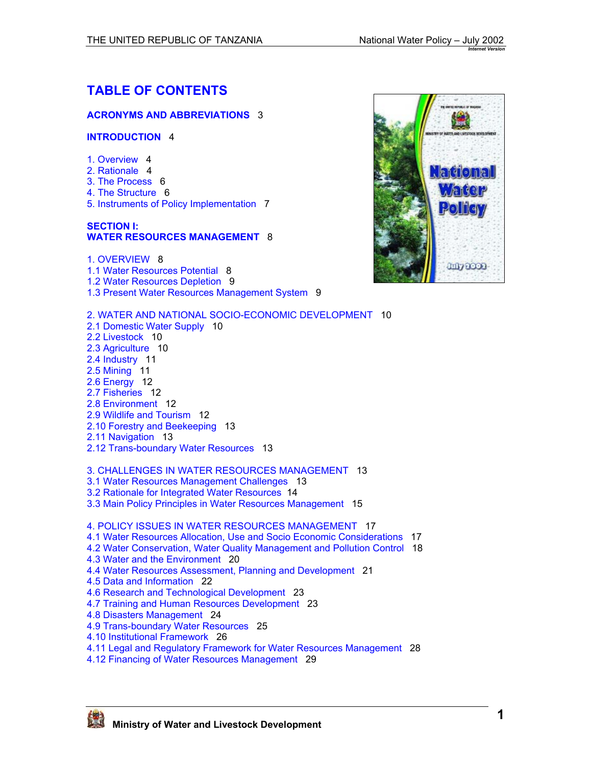# **TABLE OF CONTENTS**

#### **[ACRONYMS AND ABBREVIATIONS](#page-2-0)** 3

#### **[INTRODUCTION](#page-3-0)** 4

- 1. [Overview](#page-3-0) 4
- [2. Rationale](#page-3-0) 4
- [3. The Process](#page-5-0) 6
- [4. The Structure](#page-5-0) 6
- [5. Instruments of Policy Implementation](#page-6-0) 7

#### **[SECTION](#page-7-0) I: [WATER RESOURCES MANAGEMENT](#page-7-0)** 8

1. [OVERVIEW](#page-7-0) 8 [1.1 Water Resources Potential](#page-7-0) 8 [1.2 Water Resources Depletion](#page-8-0) 9 [1.3 Present Water Resources Management System](#page-8-0) 9

- [2. WATER AND NATIONAL SOCIO-ECONOMIC](#page-9-0) DEVELOPMENT 10 [2.1 Domestic Water Supply](#page-9-0) 10 [2.2 Livestock](#page-9-0) 10 [2.3 Agriculture](#page-9-0) 10 [2.4 Industry](#page-10-0) 11 [2.5 Mining](#page-10-0) 11 [2.6 Energy](#page-10-0) 12 [2.7 Fisheries](#page-11-0) 12 [2.8 Environment](#page-11-0) 12 [2.9 Wildlife and Tourism](#page-11-0) 12 [2.10 Forestry and Beekeeping](#page-12-0) 13 [2.11 Navigation](#page-12-0) 13 [2.12 Trans-boundary Water Resources](#page-12-0) 13 [3. CHALLENGES IN WATER RESOURCES MANAGEMENT](#page-12-0) 13 [3.1 Water Resources Management Challenges](#page-12-0) 13 [3.2 Rationale for Integrated Water Resources](#page-13-0) 14
- [3.3 Main Policy Principles in Water Resources Management](#page-14-0) 15

#### [4. POLICY ISSUES IN WATER RESOURCES MANAGEMENT](#page-16-0) 17

- [4.1 Water Resources Allocation, Use and Socio Economic Considerations](#page-16-0) 17
- [4.2 Water Conservation, Water Quality Management and Pollution Control](#page-17-0) 18
- [4.3 Water and the Environment](#page-19-0) 20
- [4.4 Water Resources Assessment, Planning and Development](#page-20-0) 21
- [4.5 Data and Information](#page-21-0) 22
- [4.6 Research and Technological Development](#page-22-0) 23
- [4.7 Training and Human Resources Development](#page-22-0) 23
- [4.8 Disasters Management](#page-23-0) 24
- [4.9 Trans-boundary Water Resources](#page-25-0) 25
- [4.10 Institutional Framework](#page-25-0) 26
- [4.11 Legal and Regulatory Framework for Water Resources Management](#page-27-0) 28
- [4.12 Financing of Water Resources Management](#page-28-0) 29



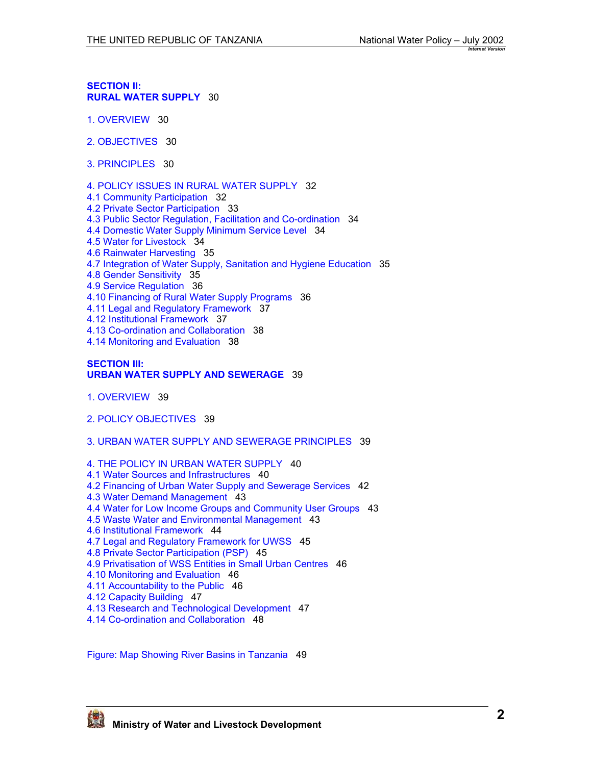**[SECTION](#page-29-0) II: RURAL WATER [SUPPLY](#page-29-0)** 30

- 1. [OVERVIEW](#page-29-0) 30
- [2. OBJECTIVES](#page-29-0) 30
- 3. [PRINCIPLES](#page-29-0) 30
- [4. POLICY ISSUES IN RURAL WATER](#page-31-0) SUPPLY 32
- [4.1 Community Participation](#page-31-0) 32
- [4.2 Private Sector Participation](#page-32-0) 33
- [4.3 Public Sector Regulation, Facilitation and Co-ordination](#page-33-0) 34
- [4.4 Domestic Water Supply Minimum Service Level](#page-33-0) 34
- [4.5 Water for Livestock](#page-33-0) 34
- [4.6 Rainwater Harvesting](#page-34-0) 35
- [4.7 Integration of Water Supply, Sanitation and Hygiene Education](#page-34-0) 35
- [4.8 Gender Sensitivity](#page-34-0) 35
- [4.9 Service Regulation](#page-35-0) 36
- [4.10 Financing of Rural Water Supply Programs](#page-35-0) 36
- [4.11 Legal and Regulatory Framework](#page-36-0) 37
- [4.12 Institutional Framework](#page-36-0) 37
- [4.13 Co-ordination and Collaboration](#page-37-0) 38
- [4.14 Monitoring and Evaluation](#page-37-0) 38

#### **[SECTION](#page-38-0) III: [URBAN WATER SUPPLY AND SEWERAGE](#page-38-0)** 39

- 1. [OVERVIEW](#page-38-0) 39
- [2. POLICY OBJECTIVES](#page-38-0) 39
- [3. URBAN WATER](#page-38-0) SUPPLY AND SEWERAGE PRINCIPLES 39
- [4. THE POLICY IN URBAN WATER](#page-39-0) SUPPLY 40
- [4.1 Water Sources and Infrastructures](#page-39-0) 40
- [4.2 Financing of Urban Water Supply and Sewerage Services](#page-41-0) 42
- [4.3 Water Demand Management](#page-42-0) 43
- [4.4 Water for Low Income Groups and Community User Groups](#page-42-0) 43
- [4.5 Waste Water and Environmental Management](#page-42-0) 43
- [4.6 Institutional Framework](#page-43-0) 44
- [4.7 Legal and Regulatory Framework for UWSS](#page-44-0) 45
- [4.8 Private Sector Participation \(PSP\)](#page-44-0) 45
- [4.9 Privatisation of WSS Entities in Small Urban Centres](#page-45-0) 46
- [4.10 Monitoring and Evaluation](#page-45-0) 46
- [4.11 Accountability to the Public](#page-45-0) 46
- [4.12 Capacity Building](#page-46-0) 47
- [4.13 Research and Technological Development](#page-46-0) 47
- [4.14 Co-ordination and Collaboration](#page-47-0) 48

Figure: Map [Showing River Basins in Tanzania](#page-48-0) 49

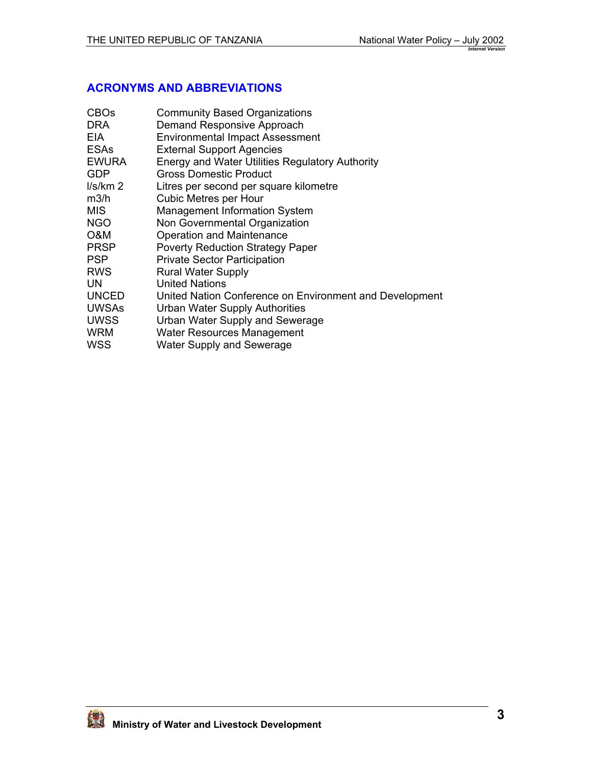## <span id="page-2-0"></span>**ACRONYMS AND ABBREVIATIONS**

| <b>CBOs</b>         | <b>Community Based Organizations</b>                    |
|---------------------|---------------------------------------------------------|
| <b>DRA</b>          | Demand Responsive Approach                              |
| EIA.                | <b>Environmental Impact Assessment</b>                  |
| <b>ESAs</b>         | <b>External Support Agencies</b>                        |
| <b>EWURA</b>        | Energy and Water Utilities Regulatory Authority         |
| <b>GDP</b>          | <b>Gross Domestic Product</b>                           |
| I/s/km <sub>2</sub> | Litres per second per square kilometre                  |
| m3/h                | <b>Cubic Metres per Hour</b>                            |
| <b>MIS</b>          | <b>Management Information System</b>                    |
| <b>NGO</b>          | Non Governmental Organization                           |
| O&M                 | Operation and Maintenance                               |
| <b>PRSP</b>         | <b>Poverty Reduction Strategy Paper</b>                 |
| <b>PSP</b>          | <b>Private Sector Participation</b>                     |
| <b>RWS</b>          | <b>Rural Water Supply</b>                               |
| UN                  | <b>United Nations</b>                                   |
| <b>UNCED</b>        | United Nation Conference on Environment and Development |
| <b>UWSAs</b>        | Urban Water Supply Authorities                          |
| <b>UWSS</b>         | Urban Water Supply and Sewerage                         |
| WRM                 | Water Resources Management                              |
| WSS                 | Water Supply and Sewerage                               |
|                     |                                                         |

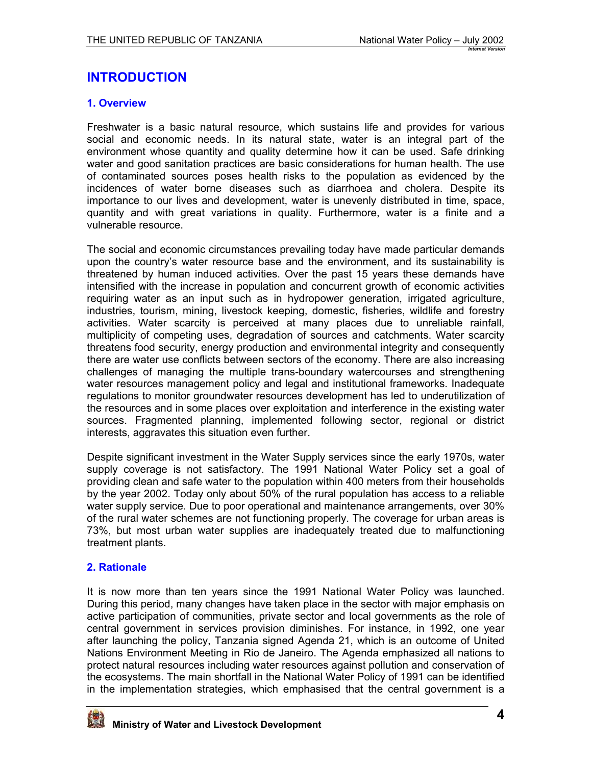# <span id="page-3-0"></span>**INTRODUCTION**

## **1. Overview**

Freshwater is a basic natural resource, which sustains life and provides for various social and economic needs. In its natural state, water is an integral part of the environment whose quantity and quality determine how it can be used. Safe drinking water and good sanitation practices are basic considerations for human health. The use of contaminated sources poses health risks to the population as evidenced by the incidences of water borne diseases such as diarrhoea and cholera. Despite its importance to our lives and development, water is unevenly distributed in time, space, quantity and with great variations in quality. Furthermore, water is a finite and a vulnerable resource.

The social and economic circumstances prevailing today have made particular demands upon the country's water resource base and the environment, and its sustainability is threatened by human induced activities. Over the past 15 years these demands have intensified with the increase in population and concurrent growth of economic activities requiring water as an input such as in hydropower generation, irrigated agriculture, industries, tourism, mining, livestock keeping, domestic, fisheries, wildlife and forestry activities. Water scarcity is perceived at many places due to unreliable rainfall, multiplicity of competing uses, degradation of sources and catchments. Water scarcity threatens food security, energy production and environmental integrity and consequently there are water use conflicts between sectors of the economy. There are also increasing challenges of managing the multiple trans-boundary watercourses and strengthening water resources management policy and legal and institutional frameworks. Inadequate regulations to monitor groundwater resources development has led to underutilization of the resources and in some places over exploitation and interference in the existing water sources. Fragmented planning, implemented following sector, regional or district interests, aggravates this situation even further.

Despite significant investment in the Water Supply services since the early 1970s, water supply coverage is not satisfactory. The 1991 National Water Policy set a goal of providing clean and safe water to the population within 400 meters from their households by the year 2002. Today only about 50% of the rural population has access to a reliable water supply service. Due to poor operational and maintenance arrangements, over 30% of the rural water schemes are not functioning properly. The coverage for urban areas is 73%, but most urban water supplies are inadequately treated due to malfunctioning treatment plants.

### **2. Rationale**

It is now more than ten years since the 1991 National Water Policy was launched. During this period, many changes have taken place in the sector with major emphasis on active participation of communities, private sector and local governments as the role of central government in services provision diminishes. For instance, in 1992, one year after launching the policy, Tanzania signed Agenda 21, which is an outcome of United Nations Environment Meeting in Rio de Janeiro. The Agenda emphasized all nations to protect natural resources including water resources against pollution and conservation of the ecosystems. The main shortfall in the National Water Policy of 1991 can be identified in the implementation strategies, which emphasised that the central government is a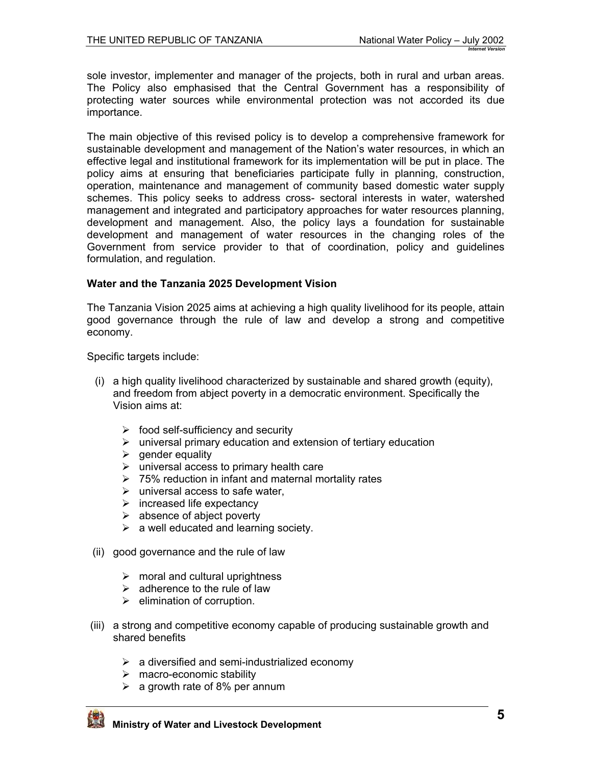sole investor, implementer and manager of the projects, both in rural and urban areas. The Policy also emphasised that the Central Government has a responsibility of protecting water sources while environmental protection was not accorded its due importance.

The main objective of this revised policy is to develop a comprehensive framework for sustainable development and management of the Nation's water resources, in which an effective legal and institutional framework for its implementation will be put in place. The policy aims at ensuring that beneficiaries participate fully in planning, construction, operation, maintenance and management of community based domestic water supply schemes. This policy seeks to address cross- sectoral interests in water, watershed management and integrated and participatory approaches for water resources planning, development and management. Also, the policy lays a foundation for sustainable development and management of water resources in the changing roles of the Government from service provider to that of coordination, policy and guidelines formulation, and regulation.

### **Water and the Tanzania 2025 Development Vision**

The Tanzania Vision 2025 aims at achieving a high quality livelihood for its people, attain good governance through the rule of law and develop a strong and competitive economy.

Specific targets include:

- (i) a high quality livelihood characterized by sustainable and shared growth (equity), and freedom from abject poverty in a democratic environment. Specifically the Vision aims at:
	- $\triangleright$  food self-sufficiency and security
	- $\triangleright$  universal primary education and extension of tertiary education
	- $\triangleright$  gender equality
	- $\triangleright$  universal access to primary health care
	- $\geq 75\%$  reduction in infant and maternal mortality rates
	- $\triangleright$  universal access to safe water.
	- $\triangleright$  increased life expectancy
	- $\triangleright$  absence of abject poverty
	- $\triangleright$  a well educated and learning society.
- (ii) good governance and the rule of law
	- $\triangleright$  moral and cultural uprightness
	- $\triangleright$  adherence to the rule of law
	- $\triangleright$  elimination of corruption.
- (iii) a strong and competitive economy capable of producing sustainable growth and shared benefits
	- $\triangleright$  a diversified and semi-industrialized economy
	- $\triangleright$  macro-economic stability
	- $\geq$  a growth rate of 8% per annum

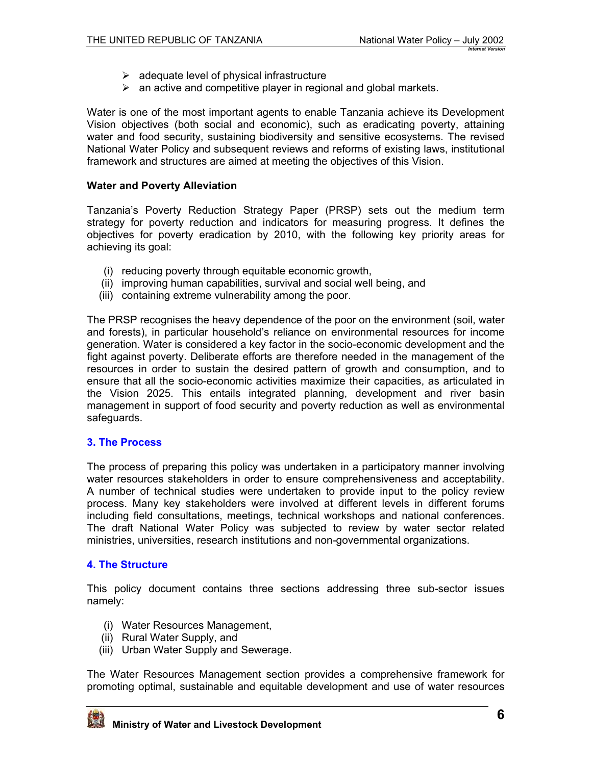- $\triangleright$  adequate level of physical infrastructure
- $\triangleright$  an active and competitive player in regional and global markets.

<span id="page-5-0"></span>Water is one of the most important agents to enable Tanzania achieve its Development Vision objectives (both social and economic), such as eradicating poverty, attaining water and food security, sustaining biodiversity and sensitive ecosystems. The revised National Water Policy and subsequent reviews and reforms of existing laws, institutional framework and structures are aimed at meeting the objectives of this Vision.

### **Water and Poverty Alleviation**

Tanzania's Poverty Reduction Strategy Paper (PRSP) sets out the medium term strategy for poverty reduction and indicators for measuring progress. It defines the objectives for poverty eradication by 2010, with the following key priority areas for achieving its goal:

- (i) reducing poverty through equitable economic growth,
- (ii) improving human capabilities, survival and social well being, and
- (iii) containing extreme vulnerability among the poor.

The PRSP recognises the heavy dependence of the poor on the environment (soil, water and forests), in particular household's reliance on environmental resources for income generation. Water is considered a key factor in the socio-economic development and the fight against poverty. Deliberate efforts are therefore needed in the management of the resources in order to sustain the desired pattern of growth and consumption, and to ensure that all the socio-economic activities maximize their capacities, as articulated in the Vision 2025. This entails integrated planning, development and river basin management in support of food security and poverty reduction as well as environmental safeguards.

### **3. The Process**

The process of preparing this policy was undertaken in a participatory manner involving water resources stakeholders in order to ensure comprehensiveness and acceptability. A number of technical studies were undertaken to provide input to the policy review process. Many key stakeholders were involved at different levels in different forums including field consultations, meetings, technical workshops and national conferences. The draft National Water Policy was subjected to review by water sector related ministries, universities, research institutions and non-governmental organizations.

### **4. The Structure**

This policy document contains three sections addressing three sub-sector issues namely:

- (i) Water Resources Management,
- (ii) Rural Water Supply, and
- (iii) Urban Water Supply and Sewerage.

The Water Resources Management section provides a comprehensive framework for promoting optimal, sustainable and equitable development and use of water resources

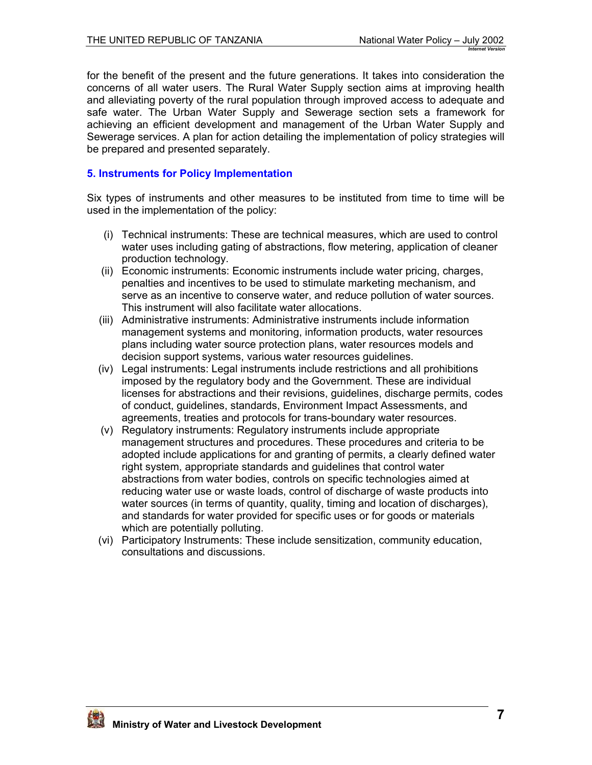<span id="page-6-0"></span>for the benefit of the present and the future generations. It takes into consideration the concerns of all water users. The Rural Water Supply section aims at improving health and alleviating poverty of the rural population through improved access to adequate and safe water. The Urban Water Supply and Sewerage section sets a framework for achieving an efficient development and management of the Urban Water Supply and Sewerage services. A plan for action detailing the implementation of policy strategies will be prepared and presented separately.

### **5. Instruments for Policy Implementation**

Six types of instruments and other measures to be instituted from time to time will be used in the implementation of the policy:

- (i) Technical instruments: These are technical measures, which are used to control water uses including gating of abstractions, flow metering, application of cleaner production technology.
- (ii) Economic instruments: Economic instruments include water pricing, charges, penalties and incentives to be used to stimulate marketing mechanism, and serve as an incentive to conserve water, and reduce pollution of water sources. This instrument will also facilitate water allocations.
- (iii) Administrative instruments: Administrative instruments include information management systems and monitoring, information products, water resources plans including water source protection plans, water resources models and decision support systems, various water resources guidelines.
- (iv) Legal instruments: Legal instruments include restrictions and all prohibitions imposed by the regulatory body and the Government. These are individual licenses for abstractions and their revisions, guidelines, discharge permits, codes of conduct, guidelines, standards, Environment Impact Assessments, and agreements, treaties and protocols for trans-boundary water resources.
- (v) Regulatory instruments: Regulatory instruments include appropriate management structures and procedures. These procedures and criteria to be adopted include applications for and granting of permits, a clearly defined water right system, appropriate standards and guidelines that control water abstractions from water bodies, controls on specific technologies aimed at reducing water use or waste loads, control of discharge of waste products into water sources (in terms of quantity, quality, timing and location of discharges), and standards for water provided for specific uses or for goods or materials which are potentially polluting.
- (vi) Participatory Instruments: These include sensitization, community education, consultations and discussions.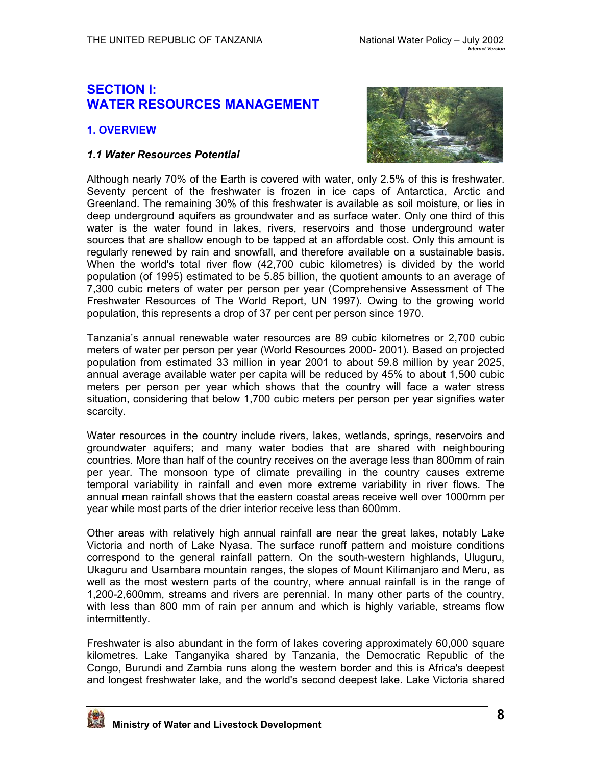## <span id="page-7-0"></span>**SECTION I: WATER RESOURCES MANAGEMENT**

## **1. OVERVIEW**

#### *1.1 Water Resources Potential*



Although nearly 70% of the Earth is covered with water, only 2.5% of this is freshwater. Seventy percent of the freshwater is frozen in ice caps of Antarctica, Arctic and Greenland. The remaining 30% of this freshwater is available as soil moisture, or lies in deep underground aquifers as groundwater and as surface water. Only one third of this water is the water found in lakes, rivers, reservoirs and those underground water sources that are shallow enough to be tapped at an affordable cost. Only this amount is regularly renewed by rain and snowfall, and therefore available on a sustainable basis. When the world's total river flow (42,700 cubic kilometres) is divided by the world population (of 1995) estimated to be 5.85 billion, the quotient amounts to an average of 7,300 cubic meters of water per person per year (Comprehensive Assessment of The Freshwater Resources of The World Report, UN 1997). Owing to the growing world population, this represents a drop of 37 per cent per person since 1970.

Tanzania's annual renewable water resources are 89 cubic kilometres or 2,700 cubic meters of water per person per year (World Resources 2000- 2001). Based on projected population from estimated 33 million in year 2001 to about 59.8 million by year 2025, annual average available water per capita will be reduced by 45% to about 1,500 cubic meters per person per year which shows that the country will face a water stress situation, considering that below 1,700 cubic meters per person per year signifies water scarcity.

Water resources in the country include rivers, lakes, wetlands, springs, reservoirs and groundwater aquifers; and many water bodies that are shared with neighbouring countries. More than half of the country receives on the average less than 800mm of rain per year. The monsoon type of climate prevailing in the country causes extreme temporal variability in rainfall and even more extreme variability in river flows. The annual mean rainfall shows that the eastern coastal areas receive well over 1000mm per year while most parts of the drier interior receive less than 600mm.

Other areas with relatively high annual rainfall are near the great lakes, notably Lake Victoria and north of Lake Nyasa. The surface runoff pattern and moisture conditions correspond to the general rainfall pattern. On the south-western highlands, Uluguru, Ukaguru and Usambara mountain ranges, the slopes of Mount Kilimanjaro and Meru, as well as the most western parts of the country, where annual rainfall is in the range of 1,200-2,600mm, streams and rivers are perennial. In many other parts of the country, with less than 800 mm of rain per annum and which is highly variable, streams flow intermittently.

Freshwater is also abundant in the form of lakes covering approximately 60,000 square kilometres. Lake Tanganyika shared by Tanzania, the Democratic Republic of the Congo, Burundi and Zambia runs along the western border and this is Africa's deepest and longest freshwater lake, and the world's second deepest lake. Lake Victoria shared

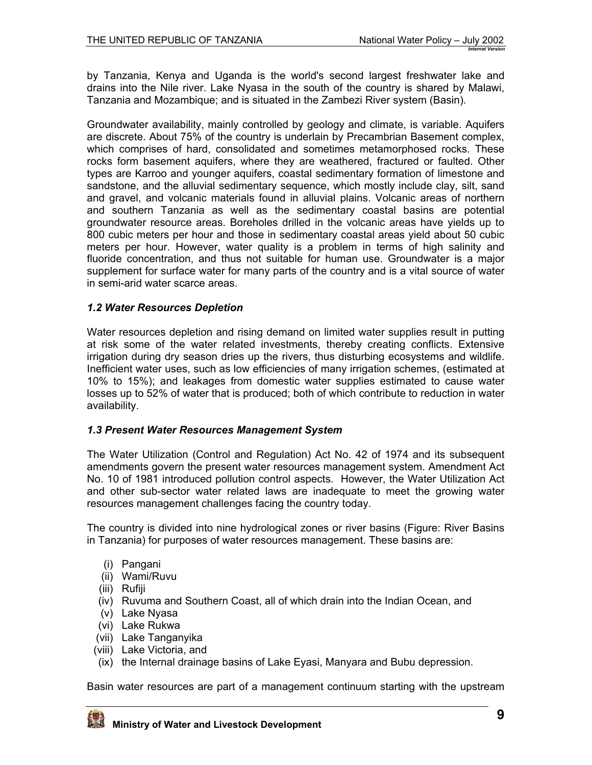<span id="page-8-0"></span>by Tanzania, Kenya and Uganda is the world's second largest freshwater lake and drains into the Nile river. Lake Nyasa in the south of the country is shared by Malawi, Tanzania and Mozambique; and is situated in the Zambezi River system (Basin).

Groundwater availability, mainly controlled by geology and climate, is variable. Aquifers are discrete. About 75% of the country is underlain by Precambrian Basement complex, which comprises of hard, consolidated and sometimes metamorphosed rocks. These rocks form basement aquifers, where they are weathered, fractured or faulted. Other types are Karroo and younger aquifers, coastal sedimentary formation of limestone and sandstone, and the alluvial sedimentary sequence, which mostly include clay, silt, sand and gravel, and volcanic materials found in alluvial plains. Volcanic areas of northern and southern Tanzania as well as the sedimentary coastal basins are potential groundwater resource areas. Boreholes drilled in the volcanic areas have yields up to 800 cubic meters per hour and those in sedimentary coastal areas yield about 50 cubic meters per hour. However, water quality is a problem in terms of high salinity and fluoride concentration, and thus not suitable for human use. Groundwater is a major supplement for surface water for many parts of the country and is a vital source of water in semi-arid water scarce areas.

### *1.2 Water Resources Depletion*

Water resources depletion and rising demand on limited water supplies result in putting at risk some of the water related investments, thereby creating conflicts. Extensive irrigation during dry season dries up the rivers, thus disturbing ecosystems and wildlife. Inefficient water uses, such as low efficiencies of many irrigation schemes, (estimated at 10% to 15%); and leakages from domestic water supplies estimated to cause water losses up to 52% of water that is produced; both of which contribute to reduction in water availability.

### *1.3 Present Water Resources Management System*

The Water Utilization (Control and Regulation) Act No. 42 of 1974 and its subsequent amendments govern the present water resources management system. Amendment Act No. 10 of 1981 introduced pollution control aspects. However, the Water Utilization Act and other sub-sector water related laws are inadequate to meet the growing water resources management challenges facing the country today.

The country is divided into nine hydrological zones or river basins (Figure: River Basins in Tanzania) for purposes of water resources management. These basins are:

- (i) Pangani
- (ii) Wami/Ruvu
- (iii) Rufiji
- (iv) Ruvuma and Southern Coast, all of which drain into the Indian Ocean, and
- (v) Lake Nyasa
- (vi) Lake Rukwa
- (vii) Lake Tanganyika
- (viii) Lake Victoria, and
- (ix) the Internal drainage basins of Lake Eyasi, Manyara and Bubu depression.

Basin water resources are part of a management continuum starting with the upstream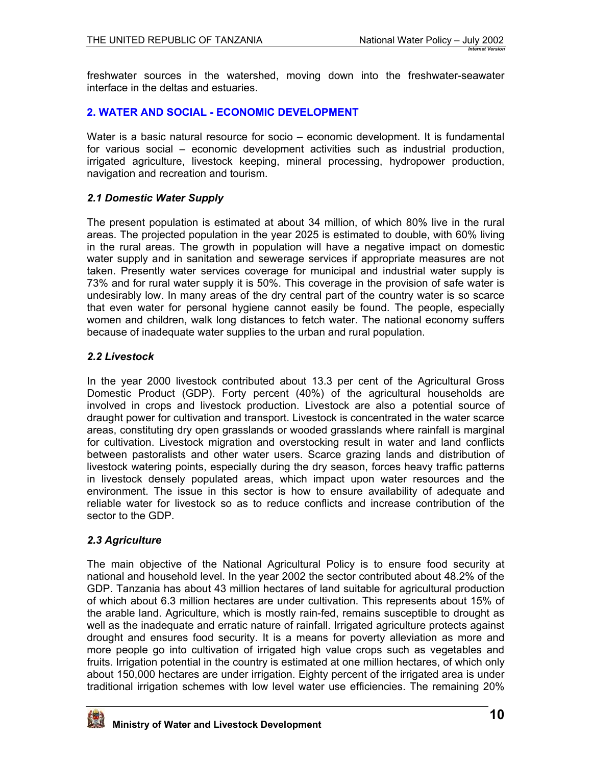<span id="page-9-0"></span>freshwater sources in the watershed, moving down into the freshwater-seawater interface in the deltas and estuaries.

## **2. WATER AND SOCIAL - ECONOMIC DEVELOPMENT**

Water is a basic natural resource for socio – economic development. It is fundamental for various social – economic development activities such as industrial production, irrigated agriculture, livestock keeping, mineral processing, hydropower production, navigation and recreation and tourism.

### *2.1 Domestic Water Supply*

The present population is estimated at about 34 million, of which 80% live in the rural areas. The projected population in the year 2025 is estimated to double, with 60% living in the rural areas. The growth in population will have a negative impact on domestic water supply and in sanitation and sewerage services if appropriate measures are not taken. Presently water services coverage for municipal and industrial water supply is 73% and for rural water supply it is 50%. This coverage in the provision of safe water is undesirably low. In many areas of the dry central part of the country water is so scarce that even water for personal hygiene cannot easily be found. The people, especially women and children, walk long distances to fetch water. The national economy suffers because of inadequate water supplies to the urban and rural population.

### *2.2 Livestock*

In the year 2000 livestock contributed about 13.3 per cent of the Agricultural Gross Domestic Product (GDP). Forty percent (40%) of the agricultural households are involved in crops and livestock production. Livestock are also a potential source of draught power for cultivation and transport. Livestock is concentrated in the water scarce areas, constituting dry open grasslands or wooded grasslands where rainfall is marginal for cultivation. Livestock migration and overstocking result in water and land conflicts between pastoralists and other water users. Scarce grazing lands and distribution of livestock watering points, especially during the dry season, forces heavy traffic patterns in livestock densely populated areas, which impact upon water resources and the environment. The issue in this sector is how to ensure availability of adequate and reliable water for livestock so as to reduce conflicts and increase contribution of the sector to the GDP.

## *2.3 Agriculture*

The main objective of the National Agricultural Policy is to ensure food security at national and household level. In the year 2002 the sector contributed about 48.2% of the GDP. Tanzania has about 43 million hectares of land suitable for agricultural production of which about 6.3 million hectares are under cultivation. This represents about 15% of the arable land. Agriculture, which is mostly rain-fed, remains susceptible to drought as well as the inadequate and erratic nature of rainfall. Irrigated agriculture protects against drought and ensures food security. It is a means for poverty alleviation as more and more people go into cultivation of irrigated high value crops such as vegetables and fruits. Irrigation potential in the country is estimated at one million hectares, of which only about 150,000 hectares are under irrigation. Eighty percent of the irrigated area is under traditional irrigation schemes with low level water use efficiencies. The remaining 20%

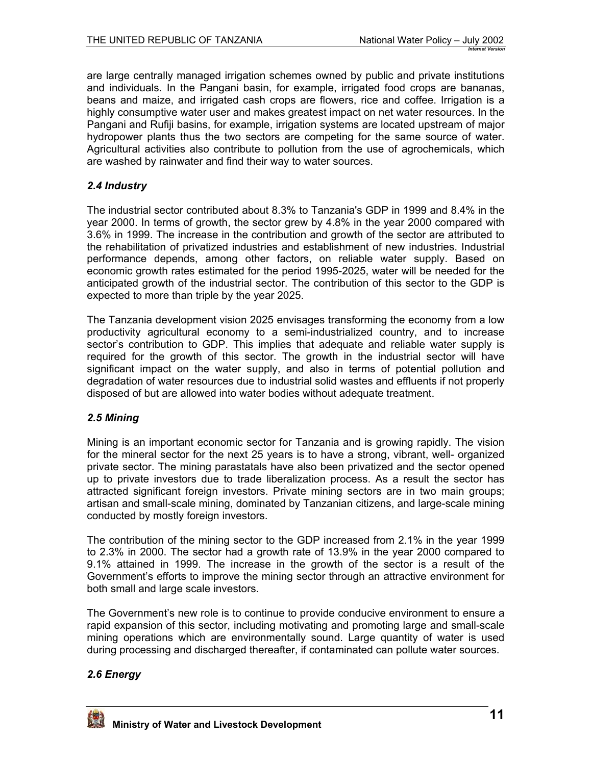<span id="page-10-0"></span>are large centrally managed irrigation schemes owned by public and private institutions and individuals. In the Pangani basin, for example, irrigated food crops are bananas, beans and maize, and irrigated cash crops are flowers, rice and coffee. Irrigation is a highly consumptive water user and makes greatest impact on net water resources. In the Pangani and Rufiji basins, for example, irrigation systems are located upstream of major hydropower plants thus the two sectors are competing for the same source of water. Agricultural activities also contribute to pollution from the use of agrochemicals, which are washed by rainwater and find their way to water sources.

## *2.4 Industry*

The industrial sector contributed about 8.3% to Tanzania's GDP in 1999 and 8.4% in the year 2000. In terms of growth, the sector grew by 4.8% in the year 2000 compared with 3.6% in 1999. The increase in the contribution and growth of the sector are attributed to the rehabilitation of privatized industries and establishment of new industries. Industrial performance depends, among other factors, on reliable water supply. Based on economic growth rates estimated for the period 1995-2025, water will be needed for the anticipated growth of the industrial sector. The contribution of this sector to the GDP is expected to more than triple by the year 2025.

The Tanzania development vision 2025 envisages transforming the economy from a low productivity agricultural economy to a semi-industrialized country, and to increase sector's contribution to GDP. This implies that adequate and reliable water supply is required for the growth of this sector. The growth in the industrial sector will have significant impact on the water supply, and also in terms of potential pollution and degradation of water resources due to industrial solid wastes and effluents if not properly disposed of but are allowed into water bodies without adequate treatment.

## *2.5 Mining*

Mining is an important economic sector for Tanzania and is growing rapidly. The vision for the mineral sector for the next 25 years is to have a strong, vibrant, well- organized private sector. The mining parastatals have also been privatized and the sector opened up to private investors due to trade liberalization process. As a result the sector has attracted significant foreign investors. Private mining sectors are in two main groups; artisan and small-scale mining, dominated by Tanzanian citizens, and large-scale mining conducted by mostly foreign investors.

The contribution of the mining sector to the GDP increased from 2.1% in the year 1999 to 2.3% in 2000. The sector had a growth rate of 13.9% in the year 2000 compared to 9.1% attained in 1999. The increase in the growth of the sector is a result of the Government's efforts to improve the mining sector through an attractive environment for both small and large scale investors.

The Government's new role is to continue to provide conducive environment to ensure a rapid expansion of this sector, including motivating and promoting large and small-scale mining operations which are environmentally sound. Large quantity of water is used during processing and discharged thereafter, if contaminated can pollute water sources.

## *2.6 Energy*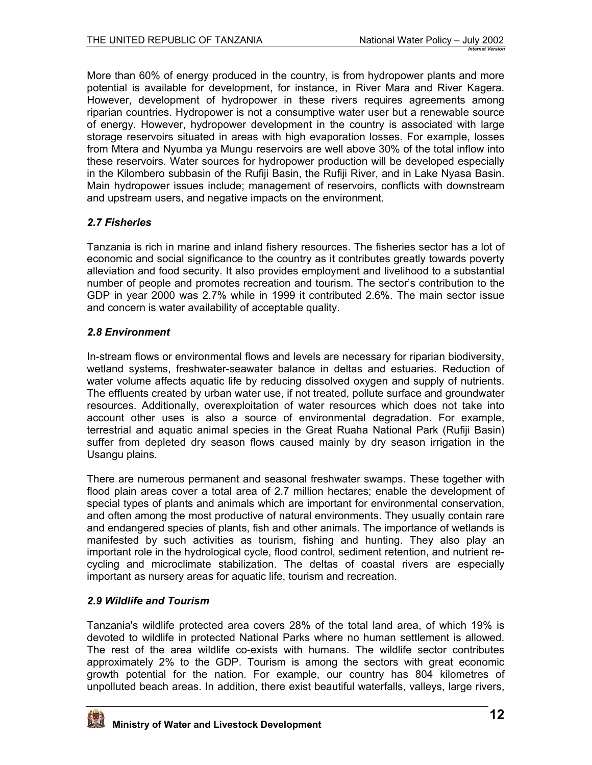<span id="page-11-0"></span>More than 60% of energy produced in the country, is from hydropower plants and more potential is available for development, for instance, in River Mara and River Kagera. However, development of hydropower in these rivers requires agreements among riparian countries. Hydropower is not a consumptive water user but a renewable source of energy. However, hydropower development in the country is associated with large storage reservoirs situated in areas with high evaporation losses. For example, losses from Mtera and Nyumba ya Mungu reservoirs are well above 30% of the total inflow into these reservoirs. Water sources for hydropower production will be developed especially in the Kilombero subbasin of the Rufiji Basin, the Rufiji River, and in Lake Nyasa Basin. Main hydropower issues include; management of reservoirs, conflicts with downstream and upstream users, and negative impacts on the environment.

## *2.7 Fisheries*

Tanzania is rich in marine and inland fishery resources. The fisheries sector has a lot of economic and social significance to the country as it contributes greatly towards poverty alleviation and food security. It also provides employment and livelihood to a substantial number of people and promotes recreation and tourism. The sector's contribution to the GDP in year 2000 was 2.7% while in 1999 it contributed 2.6%. The main sector issue and concern is water availability of acceptable quality.

## *2.8 Environment*

In-stream flows or environmental flows and levels are necessary for riparian biodiversity, wetland systems, freshwater-seawater balance in deltas and estuaries. Reduction of water volume affects aquatic life by reducing dissolved oxygen and supply of nutrients. The effluents created by urban water use, if not treated, pollute surface and groundwater resources. Additionally, overexploitation of water resources which does not take into account other uses is also a source of environmental degradation. For example, terrestrial and aquatic animal species in the Great Ruaha National Park (Rufiji Basin) suffer from depleted dry season flows caused mainly by dry season irrigation in the Usangu plains.

There are numerous permanent and seasonal freshwater swamps. These together with flood plain areas cover a total area of 2.7 million hectares; enable the development of special types of plants and animals which are important for environmental conservation, and often among the most productive of natural environments. They usually contain rare and endangered species of plants, fish and other animals. The importance of wetlands is manifested by such activities as tourism, fishing and hunting. They also play an important role in the hydrological cycle, flood control, sediment retention, and nutrient recycling and microclimate stabilization. The deltas of coastal rivers are especially important as nursery areas for aquatic life, tourism and recreation.

## *2.9 Wildlife and Tourism*

Tanzania's wildlife protected area covers 28% of the total land area, of which 19% is devoted to wildlife in protected National Parks where no human settlement is allowed. The rest of the area wildlife co-exists with humans. The wildlife sector contributes approximately 2% to the GDP. Tourism is among the sectors with great economic growth potential for the nation. For example, our country has 804 kilometres of unpolluted beach areas. In addition, there exist beautiful waterfalls, valleys, large rivers,

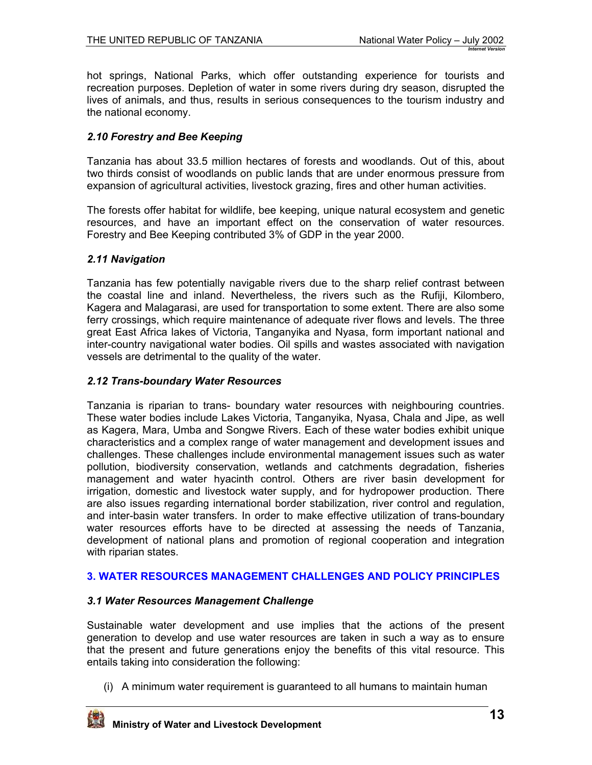<span id="page-12-0"></span>hot springs, National Parks, which offer outstanding experience for tourists and recreation purposes. Depletion of water in some rivers during dry season, disrupted the lives of animals, and thus, results in serious consequences to the tourism industry and the national economy.

## *2.10 Forestry and Bee Keeping*

Tanzania has about 33.5 million hectares of forests and woodlands. Out of this, about two thirds consist of woodlands on public lands that are under enormous pressure from expansion of agricultural activities, livestock grazing, fires and other human activities.

The forests offer habitat for wildlife, bee keeping, unique natural ecosystem and genetic resources, and have an important effect on the conservation of water resources. Forestry and Bee Keeping contributed 3% of GDP in the year 2000.

### *2.11 Navigation*

Tanzania has few potentially navigable rivers due to the sharp relief contrast between the coastal line and inland. Nevertheless, the rivers such as the Rufiji, Kilombero, Kagera and Malagarasi, are used for transportation to some extent. There are also some ferry crossings, which require maintenance of adequate river flows and levels. The three great East Africa lakes of Victoria, Tanganyika and Nyasa, form important national and inter-country navigational water bodies. Oil spills and wastes associated with navigation vessels are detrimental to the quality of the water.

### *2.12 Trans-boundary Water Resources*

Tanzania is riparian to trans- boundary water resources with neighbouring countries. These water bodies include Lakes Victoria, Tanganyika, Nyasa, Chala and Jipe, as well as Kagera, Mara, Umba and Songwe Rivers. Each of these water bodies exhibit unique characteristics and a complex range of water management and development issues and challenges. These challenges include environmental management issues such as water pollution, biodiversity conservation, wetlands and catchments degradation, fisheries management and water hyacinth control. Others are river basin development for irrigation, domestic and livestock water supply, and for hydropower production. There are also issues regarding international border stabilization, river control and regulation, and inter-basin water transfers. In order to make effective utilization of trans-boundary water resources efforts have to be directed at assessing the needs of Tanzania, development of national plans and promotion of regional cooperation and integration with riparian states.

## **3. WATER RESOURCES MANAGEMENT CHALLENGES AND POLICY PRINCIPLES**

## *3.1 Water Resources Management Challenge*

Sustainable water development and use implies that the actions of the present generation to develop and use water resources are taken in such a way as to ensure that the present and future generations enjoy the benefits of this vital resource. This entails taking into consideration the following:

(i) A minimum water requirement is guaranteed to all humans to maintain human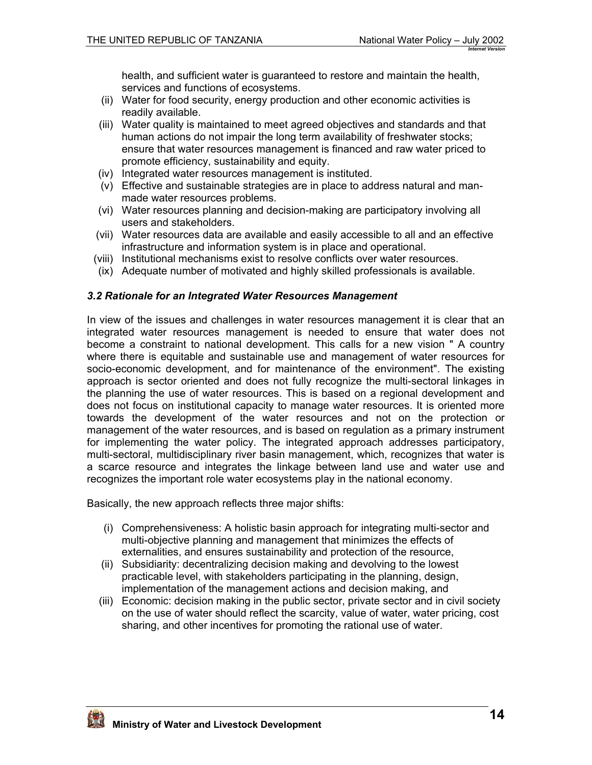health, and sufficient water is guaranteed to restore and maintain the health, services and functions of ecosystems.

- <span id="page-13-0"></span>(ii) Water for food security, energy production and other economic activities is readily available.
- (iii) Water quality is maintained to meet agreed objectives and standards and that human actions do not impair the long term availability of freshwater stocks; ensure that water resources management is financed and raw water priced to promote efficiency, sustainability and equity.
- (iv) Integrated water resources management is instituted.
- (v) Effective and sustainable strategies are in place to address natural and manmade water resources problems.
- (vi) Water resources planning and decision-making are participatory involving all users and stakeholders.
- (vii) Water resources data are available and easily accessible to all and an effective infrastructure and information system is in place and operational.
- (viii) Institutional mechanisms exist to resolve conflicts over water resources.
- (ix) Adequate number of motivated and highly skilled professionals is available.

### *3.2 Rationale for an Integrated Water Resources Management*

In view of the issues and challenges in water resources management it is clear that an integrated water resources management is needed to ensure that water does not become a constraint to national development. This calls for a new vision " A country where there is equitable and sustainable use and management of water resources for socio-economic development, and for maintenance of the environment". The existing approach is sector oriented and does not fully recognize the multi-sectoral linkages in the planning the use of water resources. This is based on a regional development and does not focus on institutional capacity to manage water resources. It is oriented more towards the development of the water resources and not on the protection or management of the water resources, and is based on regulation as a primary instrument for implementing the water policy. The integrated approach addresses participatory, multi-sectoral, multidisciplinary river basin management, which, recognizes that water is a scarce resource and integrates the linkage between land use and water use and recognizes the important role water ecosystems play in the national economy.

Basically, the new approach reflects three major shifts:

- (i) Comprehensiveness: A holistic basin approach for integrating multi-sector and multi-objective planning and management that minimizes the effects of externalities, and ensures sustainability and protection of the resource,
- (ii) Subsidiarity: decentralizing decision making and devolving to the lowest practicable level, with stakeholders participating in the planning, design, implementation of the management actions and decision making, and
- (iii) Economic: decision making in the public sector, private sector and in civil society on the use of water should reflect the scarcity, value of water, water pricing, cost sharing, and other incentives for promoting the rational use of water.

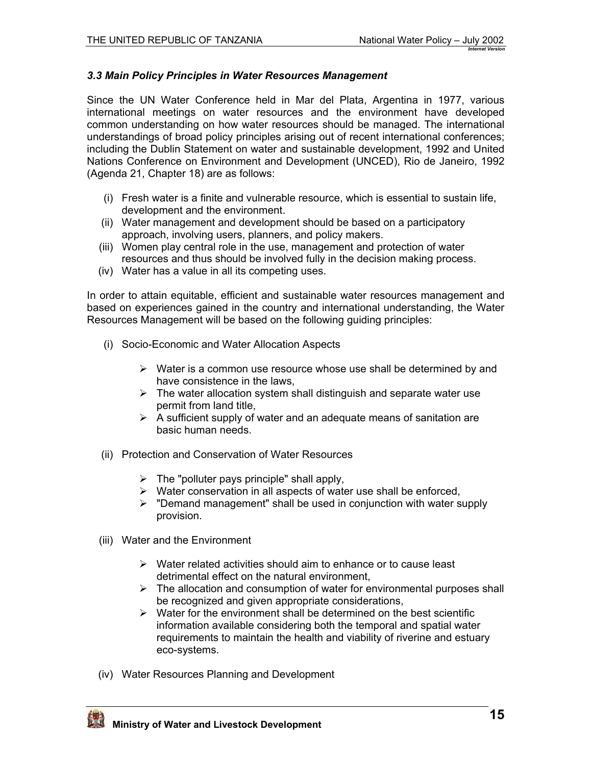### <span id="page-14-0"></span>*3.3 Main Policy Principles in Water Resources Management*

Since the UN Water Conference held in Mar del Plata, Argentina in 1977, various international meetings on water resources and the environment have developed common understanding on how water resources should be managed. The international understandings of broad policy principles arising out of recent international conferences; including the Dublin Statement on water and sustainable development, 1992 and United Nations Conference on Environment and Development (UNCED), Rio de Janeiro, 1992 (Agenda 21, Chapter 18) are as follows:

- (i) Fresh water is a finite and vulnerable resource, which is essential to sustain life, development and the environment.
- (ii) Water management and development should be based on a participatory approach, involving users, planners, and policy makers.
- (iii) Women play central role in the use, management and protection of water resources and thus should be involved fully in the decision making process.
- (iv) Water has a value in all its competing uses.

In order to attain equitable, efficient and sustainable water resources management and based on experiences gained in the country and international understanding, the Water Resources Management will be based on the following guiding principles:

- (i) Socio-Economic and Water Allocation Aspects
	- $\triangleright$  Water is a common use resource whose use shall be determined by and have consistence in the laws,
	- $\triangleright$  The water allocation system shall distinguish and separate water use permit from land title,
	- $\triangleright$  A sufficient supply of water and an adequate means of sanitation are basic human needs.
- (ii) Protection and Conservation of Water Resources
	- $\triangleright$  The "polluter pays principle" shall apply,
	- $\triangleright$  Water conservation in all aspects of water use shall be enforced,
	- $\triangleright$  "Demand management" shall be used in conjunction with water supply provision.
- (iii) Water and the Environment
	- $\triangleright$  Water related activities should aim to enhance or to cause least detrimental effect on the natural environment,
	- $\triangleright$  The allocation and consumption of water for environmental purposes shall be recognized and given appropriate considerations,
	- $\triangleright$  Water for the environment shall be determined on the best scientific information available considering both the temporal and spatial water requirements to maintain the health and viability of riverine and estuary eco-systems.
- (iv) Water Resources Planning and Development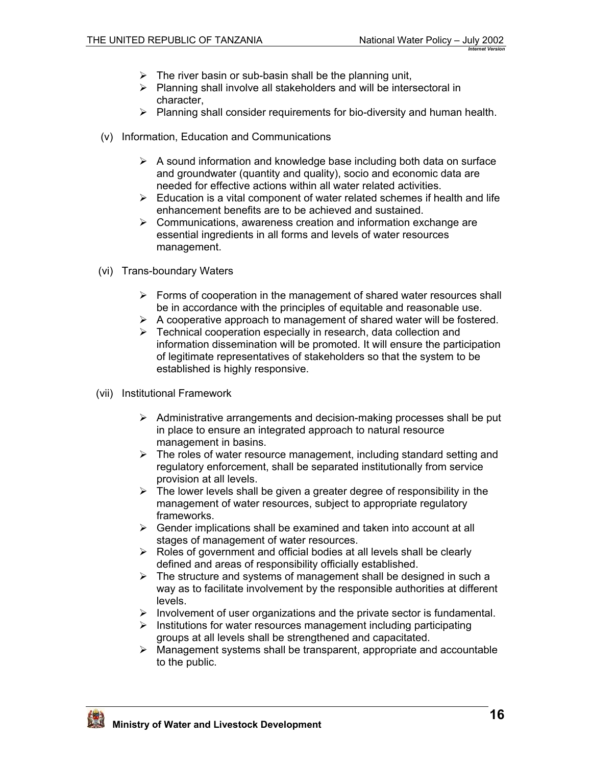- $\triangleright$  The river basin or sub-basin shall be the planning unit,
- $\triangleright$  Planning shall involve all stakeholders and will be intersectoral in character,
- $\triangleright$  Planning shall consider requirements for bio-diversity and human health.
- (v) Information, Education and Communications
	- $\triangleright$  A sound information and knowledge base including both data on surface and groundwater (quantity and quality), socio and economic data are needed for effective actions within all water related activities.
	- $\triangleright$  Education is a vital component of water related schemes if health and life enhancement benefits are to be achieved and sustained.
	- $\triangleright$  Communications, awareness creation and information exchange are essential ingredients in all forms and levels of water resources management.
- (vi) Trans-boundary Waters
	- $\triangleright$  Forms of cooperation in the management of shared water resources shall be in accordance with the principles of equitable and reasonable use.
	- $\triangleright$  A cooperative approach to management of shared water will be fostered.
	- $\triangleright$  Technical cooperation especially in research, data collection and information dissemination will be promoted. It will ensure the participation of legitimate representatives of stakeholders so that the system to be established is highly responsive.
- (vii) Institutional Framework
	- $\triangleright$  Administrative arrangements and decision-making processes shall be put in place to ensure an integrated approach to natural resource management in basins.
	- $\triangleright$  The roles of water resource management, including standard setting and regulatory enforcement, shall be separated institutionally from service provision at all levels.
	- $\triangleright$  The lower levels shall be given a greater degree of responsibility in the management of water resources, subject to appropriate regulatory frameworks.
	- $\triangleright$  Gender implications shall be examined and taken into account at all stages of management of water resources.
	- $\triangleright$  Roles of government and official bodies at all levels shall be clearly defined and areas of responsibility officially established.
	- $\triangleright$  The structure and systems of management shall be designed in such a way as to facilitate involvement by the responsible authorities at different levels.
	- $\triangleright$  Involvement of user organizations and the private sector is fundamental.
	- $\triangleright$  Institutions for water resources management including participating groups at all levels shall be strengthened and capacitated.
	- $\triangleright$  Management systems shall be transparent, appropriate and accountable to the public.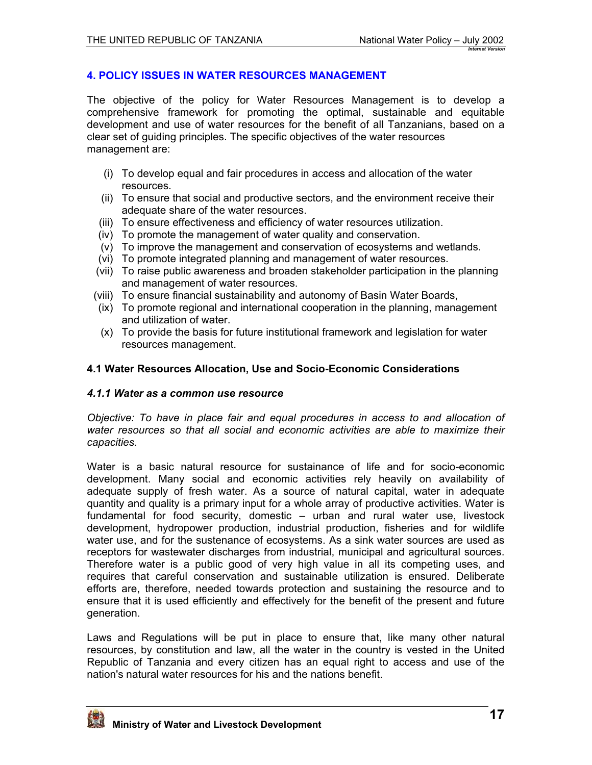### <span id="page-16-0"></span>**4. POLICY ISSUES IN WATER RESOURCES MANAGEMENT**

The objective of the policy for Water Resources Management is to develop a comprehensive framework for promoting the optimal, sustainable and equitable development and use of water resources for the benefit of all Tanzanians, based on a clear set of guiding principles. The specific objectives of the water resources management are:

- (i) To develop equal and fair procedures in access and allocation of the water resources.
- (ii) To ensure that social and productive sectors, and the environment receive their adequate share of the water resources.
- (iii) To ensure effectiveness and efficiency of water resources utilization.
- (iv) To promote the management of water quality and conservation.
- (v) To improve the management and conservation of ecosystems and wetlands.
- (vi) To promote integrated planning and management of water resources.
- (vii) To raise public awareness and broaden stakeholder participation in the planning and management of water resources.
- (viii) To ensure financial sustainability and autonomy of Basin Water Boards,
- (ix) To promote regional and international cooperation in the planning, management and utilization of water.
- (x) To provide the basis for future institutional framework and legislation for water resources management.

### **4.1 Water Resources Allocation, Use and Socio-Economic Considerations**

#### *4.1.1 Water as a common use resource*

*Objective: To have in place fair and equal procedures in access to and allocation of water resources so that all social and economic activities are able to maximize their capacities.* 

Water is a basic natural resource for sustainance of life and for socio-economic development. Many social and economic activities rely heavily on availability of adequate supply of fresh water. As a source of natural capital, water in adequate quantity and quality is a primary input for a whole array of productive activities. Water is fundamental for food security, domestic – urban and rural water use, livestock development, hydropower production, industrial production, fisheries and for wildlife water use, and for the sustenance of ecosystems. As a sink water sources are used as receptors for wastewater discharges from industrial, municipal and agricultural sources. Therefore water is a public good of very high value in all its competing uses, and requires that careful conservation and sustainable utilization is ensured. Deliberate efforts are, therefore, needed towards protection and sustaining the resource and to ensure that it is used efficiently and effectively for the benefit of the present and future generation.

Laws and Regulations will be put in place to ensure that, like many other natural resources, by constitution and law, all the water in the country is vested in the United Republic of Tanzania and every citizen has an equal right to access and use of the nation's natural water resources for his and the nations benefit.

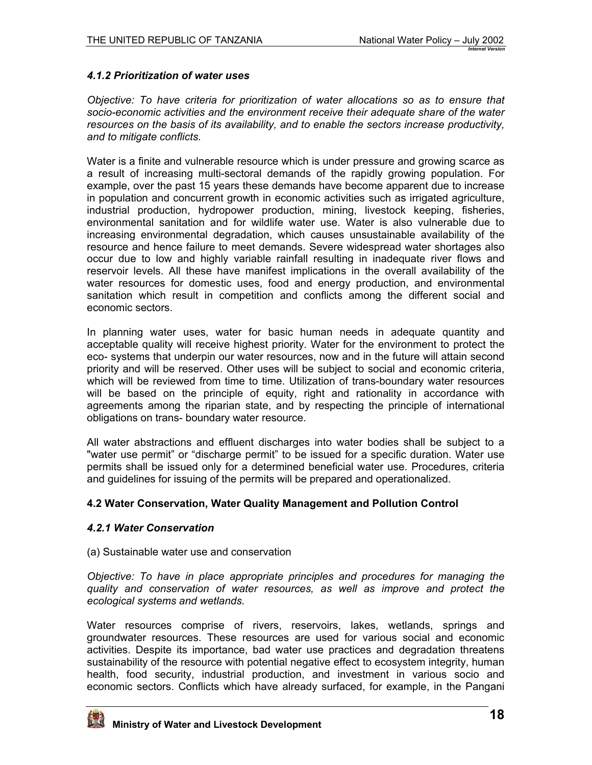### <span id="page-17-0"></span>*4.1.2 Prioritization of water uses*

*Objective: To have criteria for prioritization of water allocations so as to ensure that socio-economic activities and the environment receive their adequate share of the water resources on the basis of its availability, and to enable the sectors increase productivity, and to mitigate conflicts.*

Water is a finite and vulnerable resource which is under pressure and growing scarce as a result of increasing multi-sectoral demands of the rapidly growing population. For example, over the past 15 years these demands have become apparent due to increase in population and concurrent growth in economic activities such as irrigated agriculture, industrial production, hydropower production, mining, livestock keeping, fisheries, environmental sanitation and for wildlife water use. Water is also vulnerable due to increasing environmental degradation, which causes unsustainable availability of the resource and hence failure to meet demands. Severe widespread water shortages also occur due to low and highly variable rainfall resulting in inadequate river flows and reservoir levels. All these have manifest implications in the overall availability of the water resources for domestic uses, food and energy production, and environmental sanitation which result in competition and conflicts among the different social and economic sectors.

In planning water uses, water for basic human needs in adequate quantity and acceptable quality will receive highest priority. Water for the environment to protect the eco- systems that underpin our water resources, now and in the future will attain second priority and will be reserved. Other uses will be subject to social and economic criteria, which will be reviewed from time to time. Utilization of trans-boundary water resources will be based on the principle of equity, right and rationality in accordance with agreements among the riparian state, and by respecting the principle of international obligations on trans- boundary water resource.

All water abstractions and effluent discharges into water bodies shall be subject to a "water use permit" or "discharge permit" to be issued for a specific duration. Water use permits shall be issued only for a determined beneficial water use. Procedures, criteria and guidelines for issuing of the permits will be prepared and operationalized.

### **4.2 Water Conservation, Water Quality Management and Pollution Control**

### *4.2.1 Water Conservation*

### (a) Sustainable water use and conservation

*Objective: To have in place appropriate principles and procedures for managing the quality and conservation of water resources, as well as improve and protect the ecological systems and wetlands.* 

Water resources comprise of rivers, reservoirs, lakes, wetlands, springs and groundwater resources. These resources are used for various social and economic activities. Despite its importance, bad water use practices and degradation threatens sustainability of the resource with potential negative effect to ecosystem integrity, human health, food security, industrial production, and investment in various socio and economic sectors. Conflicts which have already surfaced, for example, in the Pangani

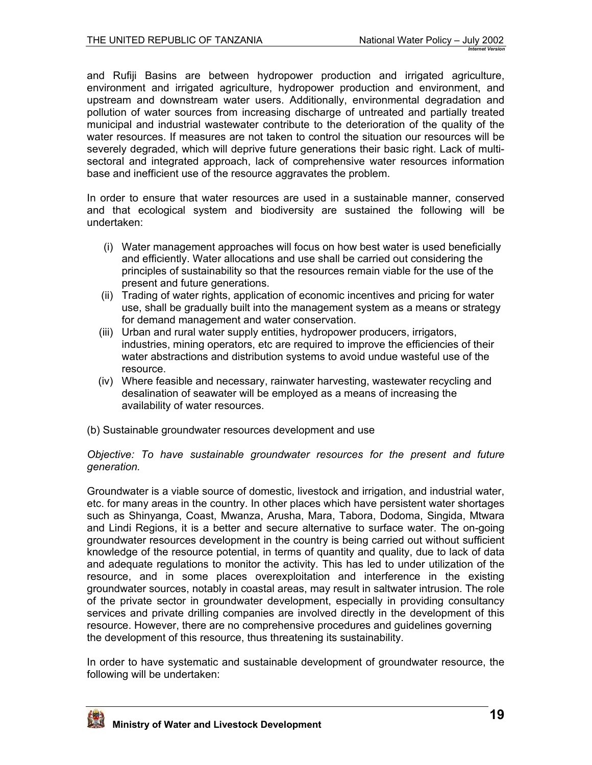and Rufiji Basins are between hydropower production and irrigated agriculture, environment and irrigated agriculture, hydropower production and environment, and upstream and downstream water users. Additionally, environmental degradation and pollution of water sources from increasing discharge of untreated and partially treated municipal and industrial wastewater contribute to the deterioration of the quality of the water resources. If measures are not taken to control the situation our resources will be severely degraded, which will deprive future generations their basic right. Lack of multisectoral and integrated approach, lack of comprehensive water resources information base and inefficient use of the resource aggravates the problem.

In order to ensure that water resources are used in a sustainable manner, conserved and that ecological system and biodiversity are sustained the following will be undertaken:

- (i) Water management approaches will focus on how best water is used beneficially and efficiently. Water allocations and use shall be carried out considering the principles of sustainability so that the resources remain viable for the use of the present and future generations.
- (ii) Trading of water rights, application of economic incentives and pricing for water use, shall be gradually built into the management system as a means or strategy for demand management and water conservation.
- (iii) Urban and rural water supply entities, hydropower producers, irrigators, industries, mining operators, etc are required to improve the efficiencies of their water abstractions and distribution systems to avoid undue wasteful use of the resource.
- (iv) Where feasible and necessary, rainwater harvesting, wastewater recycling and desalination of seawater will be employed as a means of increasing the availability of water resources.
- (b) Sustainable groundwater resources development and use

#### *Objective: To have sustainable groundwater resources for the present and future generation.*

Groundwater is a viable source of domestic, livestock and irrigation, and industrial water, etc. for many areas in the country. In other places which have persistent water shortages such as Shinyanga, Coast, Mwanza, Arusha, Mara, Tabora, Dodoma, Singida, Mtwara and Lindi Regions, it is a better and secure alternative to surface water. The on-going groundwater resources development in the country is being carried out without sufficient knowledge of the resource potential, in terms of quantity and quality, due to lack of data and adequate regulations to monitor the activity. This has led to under utilization of the resource, and in some places overexploitation and interference in the existing groundwater sources, notably in coastal areas, may result in saltwater intrusion. The role of the private sector in groundwater development, especially in providing consultancy services and private drilling companies are involved directly in the development of this resource. However, there are no comprehensive procedures and guidelines governing the development of this resource, thus threatening its sustainability.

In order to have systematic and sustainable development of groundwater resource, the following will be undertaken:

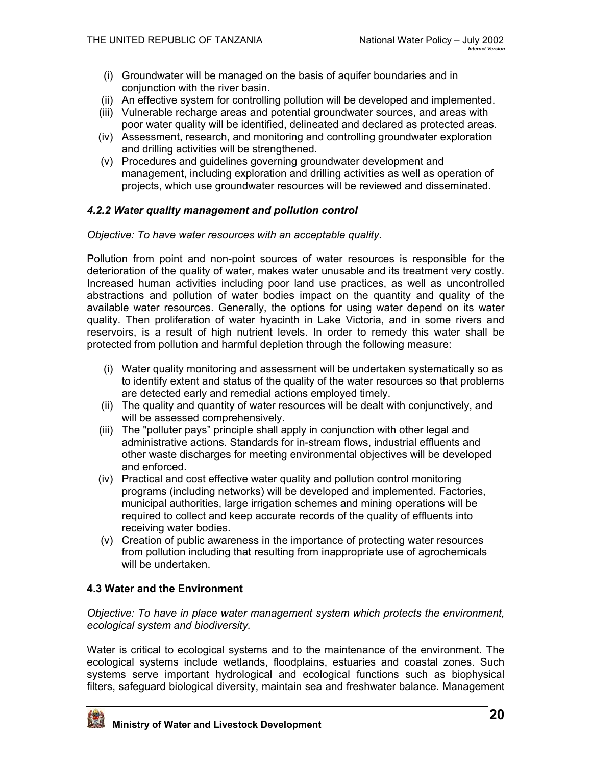- <span id="page-19-0"></span>(i) Groundwater will be managed on the basis of aquifer boundaries and in conjunction with the river basin.
- (ii) An effective system for controlling pollution will be developed and implemented.
- (iii) Vulnerable recharge areas and potential groundwater sources, and areas with poor water quality will be identified, delineated and declared as protected areas.
- (iv) Assessment, research, and monitoring and controlling groundwater exploration and drilling activities will be strengthened.
- (v) Procedures and guidelines governing groundwater development and management, including exploration and drilling activities as well as operation of projects, which use groundwater resources will be reviewed and disseminated.

### *4.2.2 Water quality management and pollution control*

#### *Objective: To have water resources with an acceptable quality.*

Pollution from point and non-point sources of water resources is responsible for the deterioration of the quality of water, makes water unusable and its treatment very costly. Increased human activities including poor land use practices, as well as uncontrolled abstractions and pollution of water bodies impact on the quantity and quality of the available water resources. Generally, the options for using water depend on its water quality. Then proliferation of water hyacinth in Lake Victoria, and in some rivers and reservoirs, is a result of high nutrient levels. In order to remedy this water shall be protected from pollution and harmful depletion through the following measure:

- (i) Water quality monitoring and assessment will be undertaken systematically so as to identify extent and status of the quality of the water resources so that problems are detected early and remedial actions employed timely.
- (ii) The quality and quantity of water resources will be dealt with conjunctively, and will be assessed comprehensively.
- (iii) The "polluter pays" principle shall apply in conjunction with other legal and administrative actions. Standards for in-stream flows, industrial effluents and other waste discharges for meeting environmental objectives will be developed and enforced.
- (iv) Practical and cost effective water quality and pollution control monitoring programs (including networks) will be developed and implemented. Factories, municipal authorities, large irrigation schemes and mining operations will be required to collect and keep accurate records of the quality of effluents into receiving water bodies.
- (v) Creation of public awareness in the importance of protecting water resources from pollution including that resulting from inappropriate use of agrochemicals will be undertaken.

### **4.3 Water and the Environment**

*Objective: To have in place water management system which protects the environment, ecological system and biodiversity.* 

Water is critical to ecological systems and to the maintenance of the environment. The ecological systems include wetlands, floodplains, estuaries and coastal zones. Such systems serve important hydrological and ecological functions such as biophysical filters, safeguard biological diversity, maintain sea and freshwater balance. Management

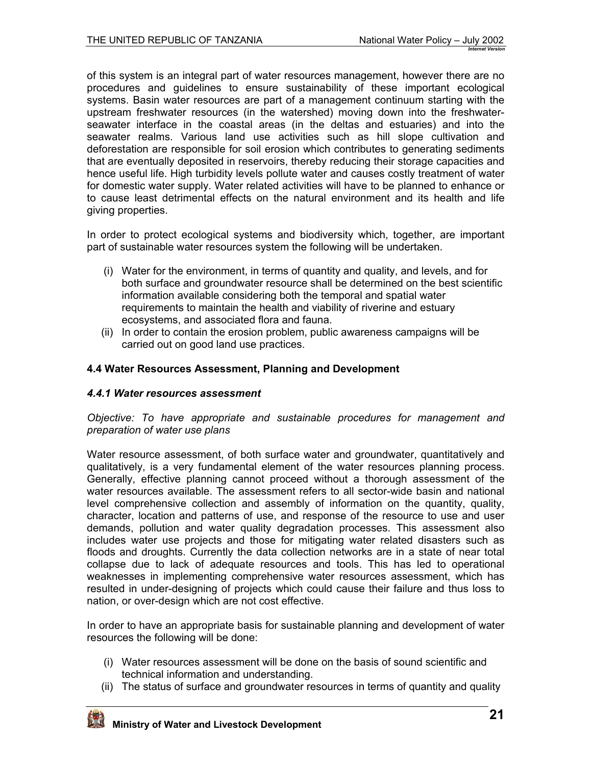<span id="page-20-0"></span>of this system is an integral part of water resources management, however there are no procedures and guidelines to ensure sustainability of these important ecological systems. Basin water resources are part of a management continuum starting with the upstream freshwater resources (in the watershed) moving down into the freshwaterseawater interface in the coastal areas (in the deltas and estuaries) and into the seawater realms. Various land use activities such as hill slope cultivation and deforestation are responsible for soil erosion which contributes to generating sediments that are eventually deposited in reservoirs, thereby reducing their storage capacities and hence useful life. High turbidity levels pollute water and causes costly treatment of water for domestic water supply. Water related activities will have to be planned to enhance or to cause least detrimental effects on the natural environment and its health and life giving properties.

In order to protect ecological systems and biodiversity which, together, are important part of sustainable water resources system the following will be undertaken.

- (i) Water for the environment, in terms of quantity and quality, and levels, and for both surface and groundwater resource shall be determined on the best scientific information available considering both the temporal and spatial water requirements to maintain the health and viability of riverine and estuary ecosystems, and associated flora and fauna.
- (ii) In order to contain the erosion problem, public awareness campaigns will be carried out on good land use practices.

### **4.4 Water Resources Assessment, Planning and Development**

### *4.4.1 Water resources assessment*

*Objective: To have appropriate and sustainable procedures for management and preparation of water use plans* 

Water resource assessment, of both surface water and groundwater, quantitatively and qualitatively, is a very fundamental element of the water resources planning process. Generally, effective planning cannot proceed without a thorough assessment of the water resources available. The assessment refers to all sector-wide basin and national level comprehensive collection and assembly of information on the quantity, quality, character, location and patterns of use, and response of the resource to use and user demands, pollution and water quality degradation processes. This assessment also includes water use projects and those for mitigating water related disasters such as floods and droughts. Currently the data collection networks are in a state of near total collapse due to lack of adequate resources and tools. This has led to operational weaknesses in implementing comprehensive water resources assessment, which has resulted in under-designing of projects which could cause their failure and thus loss to nation, or over-design which are not cost effective.

In order to have an appropriate basis for sustainable planning and development of water resources the following will be done:

- (i) Water resources assessment will be done on the basis of sound scientific and technical information and understanding.
- (ii) The status of surface and groundwater resources in terms of quantity and quality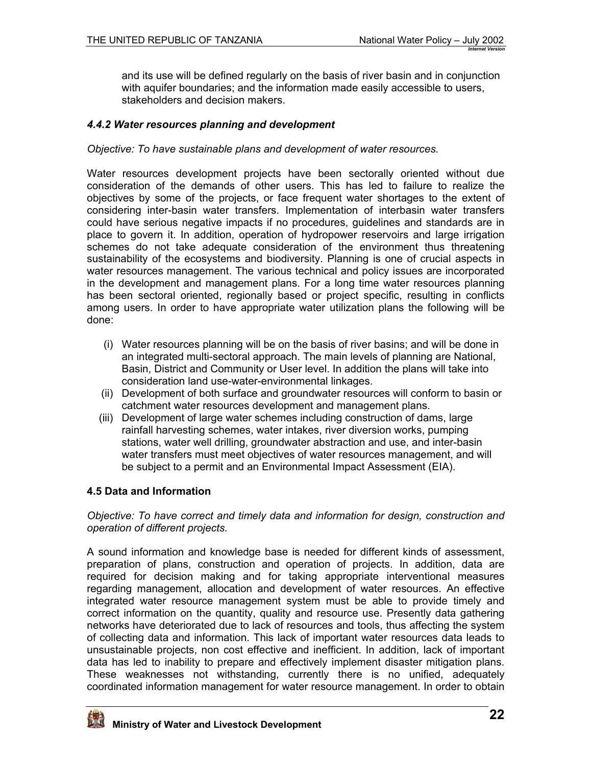<span id="page-21-0"></span>and its use will be defined regularly on the basis of river basin and in conjunction with aquifer boundaries; and the information made easily accessible to users, stakeholders and decision makers.

## *4.4.2 Water resources planning and development*

#### *Objective: To have sustainable plans and development of water resources.*

Water resources development projects have been sectorally oriented without due consideration of the demands of other users. This has led to failure to realize the objectives by some of the projects, or face frequent water shortages to the extent of considering inter-basin water transfers. Implementation of interbasin water transfers could have serious negative impacts if no procedures, guidelines and standards are in place to govern it. In addition, operation of hydropower reservoirs and large irrigation schemes do not take adequate consideration of the environment thus threatening sustainability of the ecosystems and biodiversity. Planning is one of crucial aspects in water resources management. The various technical and policy issues are incorporated in the development and management plans. For a long time water resources planning has been sectoral oriented, regionally based or project specific, resulting in conflicts among users. In order to have appropriate water utilization plans the following will be done:

- (i) Water resources planning will be on the basis of river basins; and will be done in an integrated multi-sectoral approach. The main levels of planning are National, Basin, District and Community or User level. In addition the plans will take into consideration land use-water-environmental linkages.
- (ii) Development of both surface and groundwater resources will conform to basin or catchment water resources development and management plans.
- (iii) Development of large water schemes including construction of dams, large rainfall harvesting schemes, water intakes, river diversion works, pumping stations, water well drilling, groundwater abstraction and use, and inter-basin water transfers must meet objectives of water resources management, and will be subject to a permit and an Environmental Impact Assessment (EIA).

### **4.5 Data and Information**

*Objective: To have correct and timely data and information for design, construction and operation of different projects.* 

A sound information and knowledge base is needed for different kinds of assessment, preparation of plans, construction and operation of projects. In addition, data are required for decision making and for taking appropriate interventional measures regarding management, allocation and development of water resources. An effective integrated water resource management system must be able to provide timely and correct information on the quantity, quality and resource use. Presently data gathering networks have deteriorated due to lack of resources and tools, thus affecting the system of collecting data and information. This lack of important water resources data leads to unsustainable projects, non cost effective and inefficient. In addition, lack of important data has led to inability to prepare and effectively implement disaster mitigation plans. These weaknesses not withstanding, currently there is no unified, adequately coordinated information management for water resource management. In order to obtain

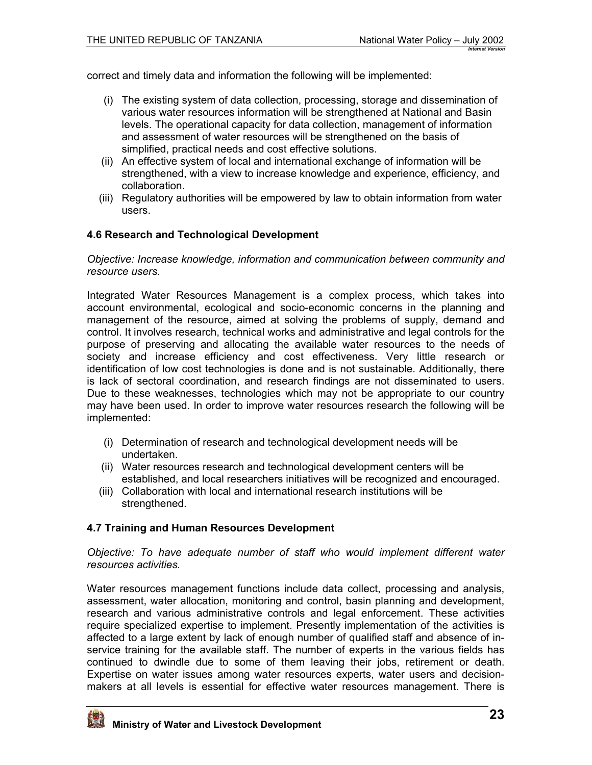<span id="page-22-0"></span>correct and timely data and information the following will be implemented:

- (i) The existing system of data collection, processing, storage and dissemination of various water resources information will be strengthened at National and Basin levels. The operational capacity for data collection, management of information and assessment of water resources will be strengthened on the basis of simplified, practical needs and cost effective solutions.
- (ii) An effective system of local and international exchange of information will be strengthened, with a view to increase knowledge and experience, efficiency, and collaboration.
- (iii) Regulatory authorities will be empowered by law to obtain information from water users.

### **4.6 Research and Technological Development**

*Objective: Increase knowledge, information and communication between community and resource users.* 

Integrated Water Resources Management is a complex process, which takes into account environmental, ecological and socio-economic concerns in the planning and management of the resource, aimed at solving the problems of supply, demand and control. It involves research, technical works and administrative and legal controls for the purpose of preserving and allocating the available water resources to the needs of society and increase efficiency and cost effectiveness. Very little research or identification of low cost technologies is done and is not sustainable. Additionally, there is lack of sectoral coordination, and research findings are not disseminated to users. Due to these weaknesses, technologies which may not be appropriate to our country may have been used. In order to improve water resources research the following will be implemented:

- (i) Determination of research and technological development needs will be undertaken.
- (ii) Water resources research and technological development centers will be established, and local researchers initiatives will be recognized and encouraged.
- (iii) Collaboration with local and international research institutions will be strengthened.

### **4.7 Training and Human Resources Development**

*Objective: To have adequate number of staff who would implement different water resources activities.* 

Water resources management functions include data collect, processing and analysis, assessment, water allocation, monitoring and control, basin planning and development, research and various administrative controls and legal enforcement. These activities require specialized expertise to implement. Presently implementation of the activities is affected to a large extent by lack of enough number of qualified staff and absence of inservice training for the available staff. The number of experts in the various fields has continued to dwindle due to some of them leaving their jobs, retirement or death. Expertise on water issues among water resources experts, water users and decisionmakers at all levels is essential for effective water resources management. There is

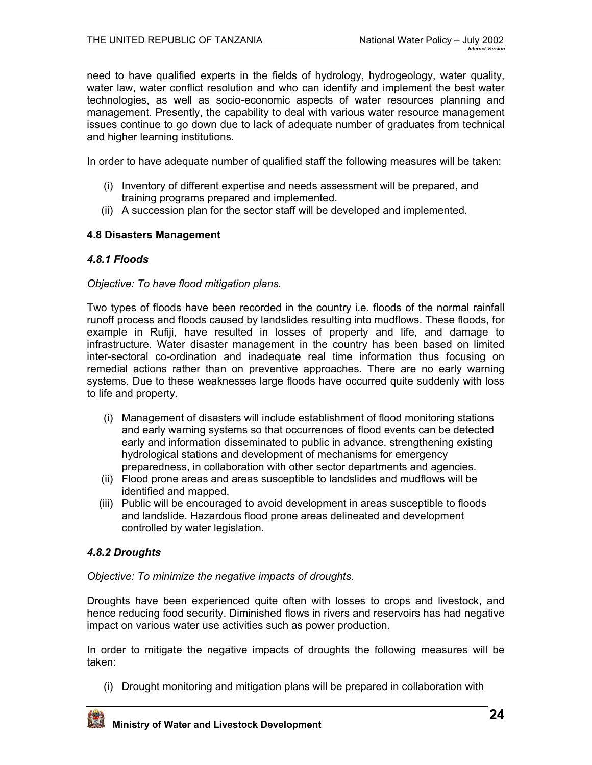<span id="page-23-0"></span>need to have qualified experts in the fields of hydrology, hydrogeology, water quality, water law, water conflict resolution and who can identify and implement the best water technologies, as well as socio-economic aspects of water resources planning and management. Presently, the capability to deal with various water resource management issues continue to go down due to lack of adequate number of graduates from technical and higher learning institutions.

In order to have adequate number of qualified staff the following measures will be taken:

- (i) Inventory of different expertise and needs assessment will be prepared, and training programs prepared and implemented.
- (ii) A succession plan for the sector staff will be developed and implemented.

### **4.8 Disasters Management**

### *4.8.1 Floods*

#### *Objective: To have flood mitigation plans.*

Two types of floods have been recorded in the country i.e. floods of the normal rainfall runoff process and floods caused by landslides resulting into mudflows. These floods, for example in Rufiji, have resulted in losses of property and life, and damage to infrastructure. Water disaster management in the country has been based on limited inter-sectoral co-ordination and inadequate real time information thus focusing on remedial actions rather than on preventive approaches. There are no early warning systems. Due to these weaknesses large floods have occurred quite suddenly with loss to life and property.

- (i) Management of disasters will include establishment of flood monitoring stations and early warning systems so that occurrences of flood events can be detected early and information disseminated to public in advance, strengthening existing hydrological stations and development of mechanisms for emergency preparedness, in collaboration with other sector departments and agencies.
- (ii) Flood prone areas and areas susceptible to landslides and mudflows will be identified and mapped,
- (iii) Public will be encouraged to avoid development in areas susceptible to floods and landslide. Hazardous flood prone areas delineated and development controlled by water legislation.

### *4.8.2 Droughts*

*Objective: To minimize the negative impacts of droughts.* 

Droughts have been experienced quite often with losses to crops and livestock, and hence reducing food security. Diminished flows in rivers and reservoirs has had negative impact on various water use activities such as power production.

In order to mitigate the negative impacts of droughts the following measures will be taken:

(i) Drought monitoring and mitigation plans will be prepared in collaboration with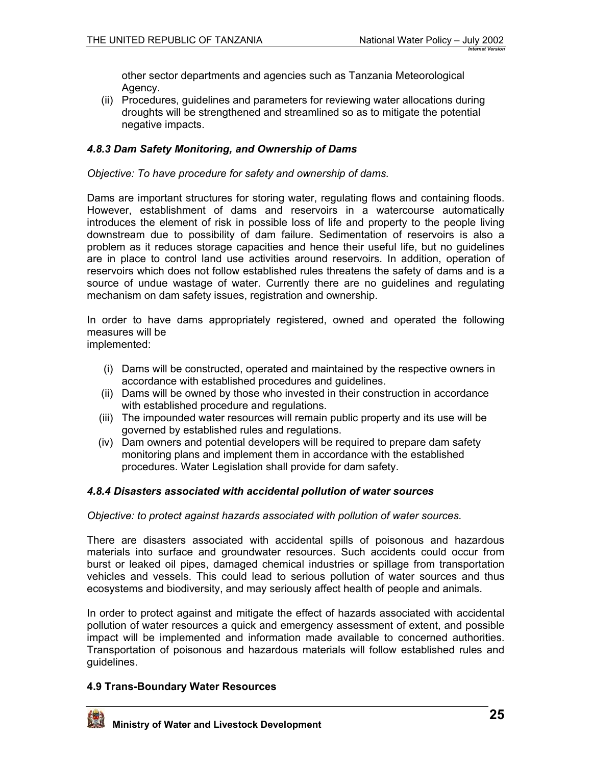other sector departments and agencies such as Tanzania Meteorological Agency.

(ii) Procedures, guidelines and parameters for reviewing water allocations during droughts will be strengthened and streamlined so as to mitigate the potential negative impacts.

### *4.8.3 Dam Safety Monitoring, and Ownership of Dams*

*Objective: To have procedure for safety and ownership of dams.* 

Dams are important structures for storing water, regulating flows and containing floods. However, establishment of dams and reservoirs in a watercourse automatically introduces the element of risk in possible loss of life and property to the people living downstream due to possibility of dam failure. Sedimentation of reservoirs is also a problem as it reduces storage capacities and hence their useful life, but no guidelines are in place to control land use activities around reservoirs. In addition, operation of reservoirs which does not follow established rules threatens the safety of dams and is a source of undue wastage of water. Currently there are no guidelines and regulating mechanism on dam safety issues, registration and ownership.

In order to have dams appropriately registered, owned and operated the following measures will be

implemented:

- (i) Dams will be constructed, operated and maintained by the respective owners in accordance with established procedures and guidelines.
- (ii) Dams will be owned by those who invested in their construction in accordance with established procedure and regulations.
- (iii) The impounded water resources will remain public property and its use will be governed by established rules and regulations.
- (iv) Dam owners and potential developers will be required to prepare dam safety monitoring plans and implement them in accordance with the established procedures. Water Legislation shall provide for dam safety.

### *4.8.4 Disasters associated with accidental pollution of water sources*

*Objective: to protect against hazards associated with pollution of water sources.* 

There are disasters associated with accidental spills of poisonous and hazardous materials into surface and groundwater resources. Such accidents could occur from burst or leaked oil pipes, damaged chemical industries or spillage from transportation vehicles and vessels. This could lead to serious pollution of water sources and thus ecosystems and biodiversity, and may seriously affect health of people and animals.

In order to protect against and mitigate the effect of hazards associated with accidental pollution of water resources a quick and emergency assessment of extent, and possible impact will be implemented and information made available to concerned authorities. Transportation of poisonous and hazardous materials will follow established rules and guidelines.

#### **4.9 Trans-Boundary Water Resources**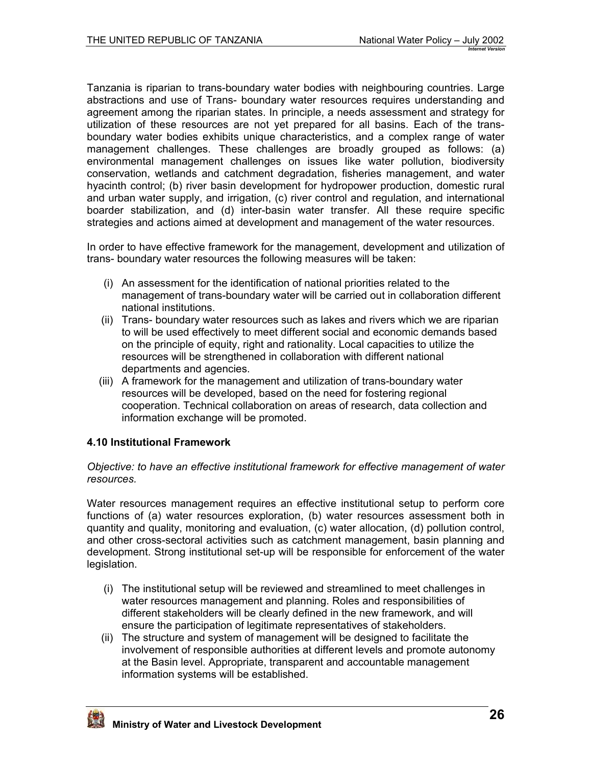<span id="page-25-0"></span>Tanzania is riparian to trans-boundary water bodies with neighbouring countries. Large abstractions and use of Trans- boundary water resources requires understanding and agreement among the riparian states. In principle, a needs assessment and strategy for utilization of these resources are not yet prepared for all basins. Each of the transboundary water bodies exhibits unique characteristics, and a complex range of water management challenges. These challenges are broadly grouped as follows: (a) environmental management challenges on issues like water pollution, biodiversity conservation, wetlands and catchment degradation, fisheries management, and water hyacinth control; (b) river basin development for hydropower production, domestic rural and urban water supply, and irrigation, (c) river control and regulation, and international boarder stabilization, and (d) inter-basin water transfer. All these require specific strategies and actions aimed at development and management of the water resources.

In order to have effective framework for the management, development and utilization of trans- boundary water resources the following measures will be taken:

- (i) An assessment for the identification of national priorities related to the management of trans-boundary water will be carried out in collaboration different national institutions.
- (ii) Trans- boundary water resources such as lakes and rivers which we are riparian to will be used effectively to meet different social and economic demands based on the principle of equity, right and rationality. Local capacities to utilize the resources will be strengthened in collaboration with different national departments and agencies.
- (iii) A framework for the management and utilization of trans-boundary water resources will be developed, based on the need for fostering regional cooperation. Technical collaboration on areas of research, data collection and information exchange will be promoted.

## **4.10 Institutional Framework**

#### *Objective: to have an effective institutional framework for effective management of water resources.*

Water resources management requires an effective institutional setup to perform core functions of (a) water resources exploration, (b) water resources assessment both in quantity and quality, monitoring and evaluation, (c) water allocation, (d) pollution control, and other cross-sectoral activities such as catchment management, basin planning and development. Strong institutional set-up will be responsible for enforcement of the water legislation.

- (i) The institutional setup will be reviewed and streamlined to meet challenges in water resources management and planning. Roles and responsibilities of different stakeholders will be clearly defined in the new framework, and will ensure the participation of legitimate representatives of stakeholders.
- (ii) The structure and system of management will be designed to facilitate the involvement of responsible authorities at different levels and promote autonomy at the Basin level. Appropriate, transparent and accountable management information systems will be established.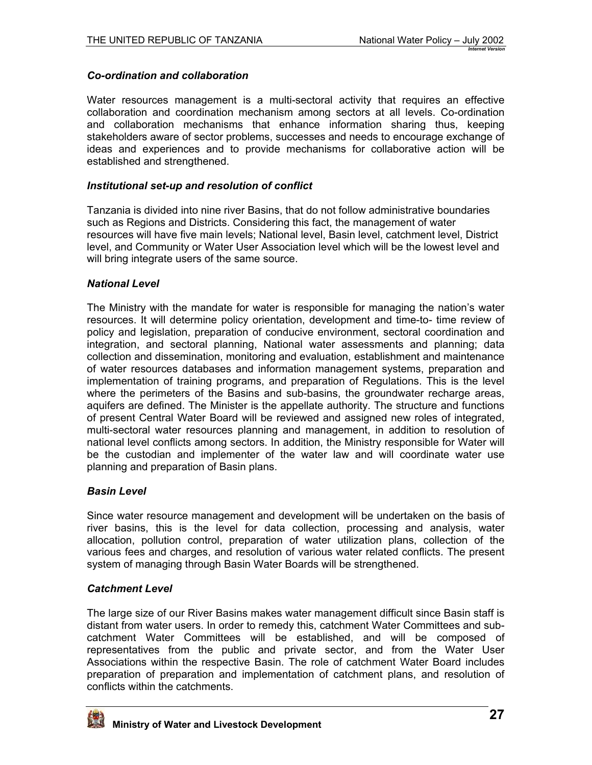### *Co-ordination and collaboration*

Water resources management is a multi-sectoral activity that requires an effective collaboration and coordination mechanism among sectors at all levels. Co-ordination and collaboration mechanisms that enhance information sharing thus, keeping stakeholders aware of sector problems, successes and needs to encourage exchange of ideas and experiences and to provide mechanisms for collaborative action will be established and strengthened.

#### *Institutional set-up and resolution of conflict*

Tanzania is divided into nine river Basins, that do not follow administrative boundaries such as Regions and Districts. Considering this fact, the management of water resources will have five main levels; National level, Basin level, catchment level, District level, and Community or Water User Association level which will be the lowest level and will bring integrate users of the same source.

#### *National Level*

The Ministry with the mandate for water is responsible for managing the nation's water resources. It will determine policy orientation, development and time-to- time review of policy and legislation, preparation of conducive environment, sectoral coordination and integration, and sectoral planning, National water assessments and planning; data collection and dissemination, monitoring and evaluation, establishment and maintenance of water resources databases and information management systems, preparation and implementation of training programs, and preparation of Regulations. This is the level where the perimeters of the Basins and sub-basins, the groundwater recharge areas, aquifers are defined. The Minister is the appellate authority. The structure and functions of present Central Water Board will be reviewed and assigned new roles of integrated, multi-sectoral water resources planning and management, in addition to resolution of national level conflicts among sectors. In addition, the Ministry responsible for Water will be the custodian and implementer of the water law and will coordinate water use planning and preparation of Basin plans.

### *Basin Level*

Since water resource management and development will be undertaken on the basis of river basins, this is the level for data collection, processing and analysis, water allocation, pollution control, preparation of water utilization plans, collection of the various fees and charges, and resolution of various water related conflicts. The present system of managing through Basin Water Boards will be strengthened.

### *Catchment Level*

The large size of our River Basins makes water management difficult since Basin staff is distant from water users. In order to remedy this, catchment Water Committees and subcatchment Water Committees will be established, and will be composed of representatives from the public and private sector, and from the Water User Associations within the respective Basin. The role of catchment Water Board includes preparation of preparation and implementation of catchment plans, and resolution of conflicts within the catchments.

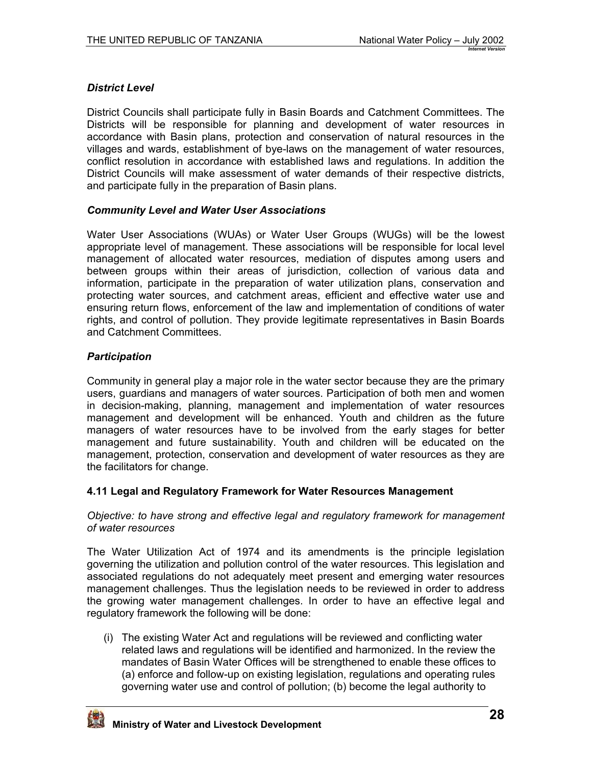## <span id="page-27-0"></span>*District Level*

District Councils shall participate fully in Basin Boards and Catchment Committees. The Districts will be responsible for planning and development of water resources in accordance with Basin plans, protection and conservation of natural resources in the villages and wards, establishment of bye-laws on the management of water resources, conflict resolution in accordance with established laws and regulations. In addition the District Councils will make assessment of water demands of their respective districts, and participate fully in the preparation of Basin plans.

### *Community Level and Water User Associations*

Water User Associations (WUAs) or Water User Groups (WUGs) will be the lowest appropriate level of management. These associations will be responsible for local level management of allocated water resources, mediation of disputes among users and between groups within their areas of jurisdiction, collection of various data and information, participate in the preparation of water utilization plans, conservation and protecting water sources, and catchment areas, efficient and effective water use and ensuring return flows, enforcement of the law and implementation of conditions of water rights, and control of pollution. They provide legitimate representatives in Basin Boards and Catchment Committees.

### *Participation*

Community in general play a major role in the water sector because they are the primary users, guardians and managers of water sources. Participation of both men and women in decision-making, planning, management and implementation of water resources management and development will be enhanced. Youth and children as the future managers of water resources have to be involved from the early stages for better management and future sustainability. Youth and children will be educated on the management, protection, conservation and development of water resources as they are the facilitators for change.

### **4.11 Legal and Regulatory Framework for Water Resources Management**

*Objective: to have strong and effective legal and regulatory framework for management of water resources* 

The Water Utilization Act of 1974 and its amendments is the principle legislation governing the utilization and pollution control of the water resources. This legislation and associated regulations do not adequately meet present and emerging water resources management challenges. Thus the legislation needs to be reviewed in order to address the growing water management challenges. In order to have an effective legal and regulatory framework the following will be done:

(i) The existing Water Act and regulations will be reviewed and conflicting water related laws and regulations will be identified and harmonized. In the review the mandates of Basin Water Offices will be strengthened to enable these offices to (a) enforce and follow-up on existing legislation, regulations and operating rules governing water use and control of pollution; (b) become the legal authority to

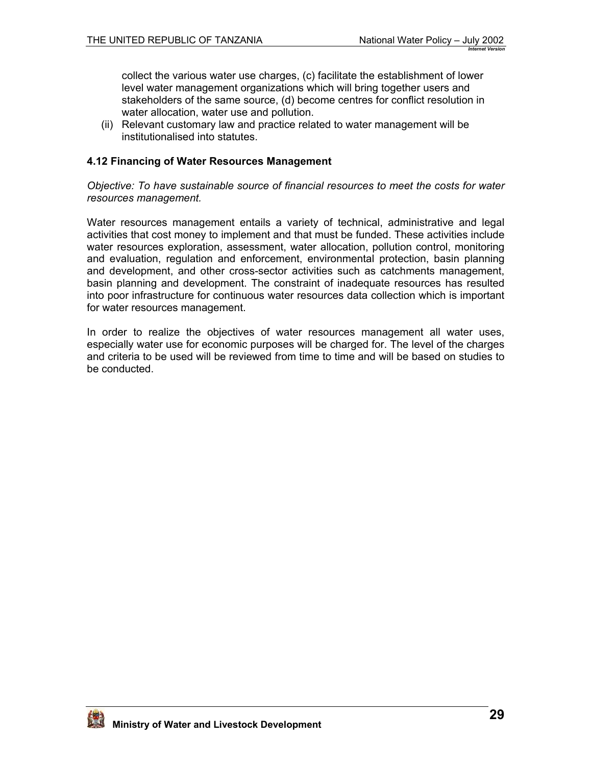<span id="page-28-0"></span>collect the various water use charges, (c) facilitate the establishment of lower level water management organizations which will bring together users and stakeholders of the same source, (d) become centres for conflict resolution in water allocation, water use and pollution.

(ii) Relevant customary law and practice related to water management will be institutionalised into statutes.

### **4.12 Financing of Water Resources Management**

*Objective: To have sustainable source of financial resources to meet the costs for water resources management.*

Water resources management entails a variety of technical, administrative and legal activities that cost money to implement and that must be funded. These activities include water resources exploration, assessment, water allocation, pollution control, monitoring and evaluation, regulation and enforcement, environmental protection, basin planning and development, and other cross-sector activities such as catchments management, basin planning and development. The constraint of inadequate resources has resulted into poor infrastructure for continuous water resources data collection which is important for water resources management.

In order to realize the objectives of water resources management all water uses, especially water use for economic purposes will be charged for. The level of the charges and criteria to be used will be reviewed from time to time and will be based on studies to be conducted.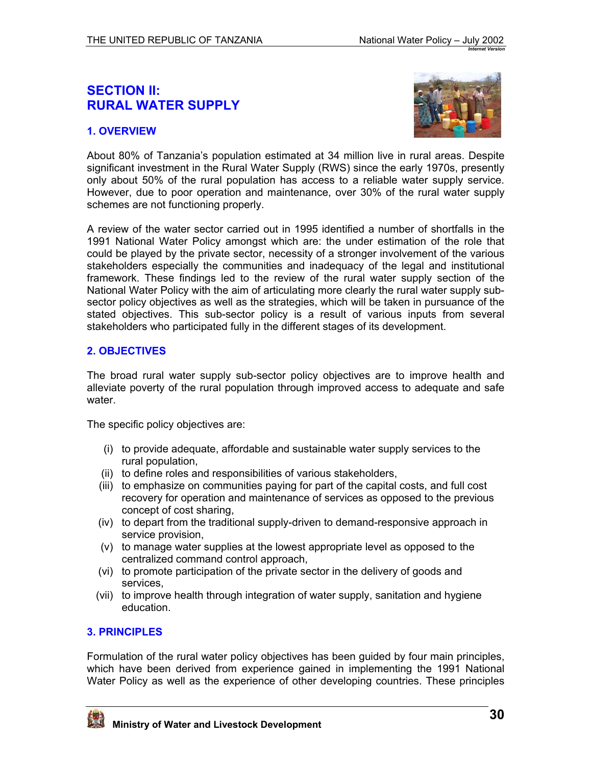# <span id="page-29-0"></span>**SECTION II: RURAL WATER SUPPLY**

## **1. OVERVIEW**



About 80% of Tanzania's population estimated at 34 million live in rural areas. Despite significant investment in the Rural Water Supply (RWS) since the early 1970s, presently only about 50% of the rural population has access to a reliable water supply service. However, due to poor operation and maintenance, over 30% of the rural water supply schemes are not functioning properly.

A review of the water sector carried out in 1995 identified a number of shortfalls in the 1991 National Water Policy amongst which are: the under estimation of the role that could be played by the private sector, necessity of a stronger involvement of the various stakeholders especially the communities and inadequacy of the legal and institutional framework. These findings led to the review of the rural water supply section of the National Water Policy with the aim of articulating more clearly the rural water supply subsector policy objectives as well as the strategies, which will be taken in pursuance of the stated objectives. This sub-sector policy is a result of various inputs from several stakeholders who participated fully in the different stages of its development.

## **2. OBJECTIVES**

The broad rural water supply sub-sector policy objectives are to improve health and alleviate poverty of the rural population through improved access to adequate and safe water.

The specific policy objectives are:

- (i) to provide adequate, affordable and sustainable water supply services to the rural population,
- (ii) to define roles and responsibilities of various stakeholders,
- (iii) to emphasize on communities paying for part of the capital costs, and full cost recovery for operation and maintenance of services as opposed to the previous concept of cost sharing,
- (iv) to depart from the traditional supply-driven to demand-responsive approach in service provision,
- (v) to manage water supplies at the lowest appropriate level as opposed to the centralized command control approach,
- (vi) to promote participation of the private sector in the delivery of goods and services,
- (vii) to improve health through integration of water supply, sanitation and hygiene education.

## **3. PRINCIPLES**

Formulation of the rural water policy objectives has been guided by four main principles, which have been derived from experience gained in implementing the 1991 National Water Policy as well as the experience of other developing countries. These principles

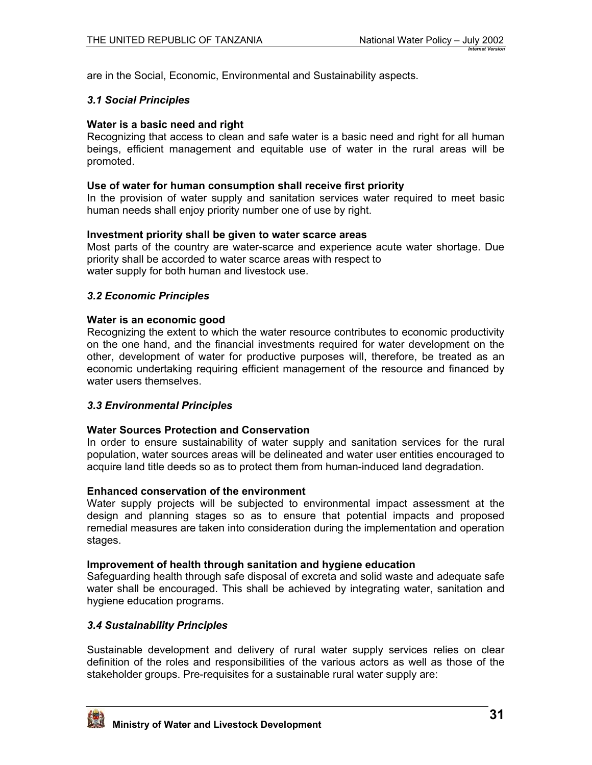are in the Social, Economic, Environmental and Sustainability aspects.

### *3.1 Social Principles*

### **Water is a basic need and right**

Recognizing that access to clean and safe water is a basic need and right for all human beings, efficient management and equitable use of water in the rural areas will be promoted.

#### **Use of water for human consumption shall receive first priority**

In the provision of water supply and sanitation services water required to meet basic human needs shall enjoy priority number one of use by right.

### **Investment priority shall be given to water scarce areas**

Most parts of the country are water-scarce and experience acute water shortage. Due priority shall be accorded to water scarce areas with respect to water supply for both human and livestock use.

### *3.2 Economic Principles*

#### **Water is an economic good**

Recognizing the extent to which the water resource contributes to economic productivity on the one hand, and the financial investments required for water development on the other, development of water for productive purposes will, therefore, be treated as an economic undertaking requiring efficient management of the resource and financed by water users themselves.

### *3.3 Environmental Principles*

### **Water Sources Protection and Conservation**

In order to ensure sustainability of water supply and sanitation services for the rural population, water sources areas will be delineated and water user entities encouraged to acquire land title deeds so as to protect them from human-induced land degradation.

### **Enhanced conservation of the environment**

Water supply projects will be subjected to environmental impact assessment at the design and planning stages so as to ensure that potential impacts and proposed remedial measures are taken into consideration during the implementation and operation stages.

#### **Improvement of health through sanitation and hygiene education**

Safeguarding health through safe disposal of excreta and solid waste and adequate safe water shall be encouraged. This shall be achieved by integrating water, sanitation and hygiene education programs.

### *3.4 Sustainability Principles*

Sustainable development and delivery of rural water supply services relies on clear definition of the roles and responsibilities of the various actors as well as those of the stakeholder groups. Pre-requisites for a sustainable rural water supply are:

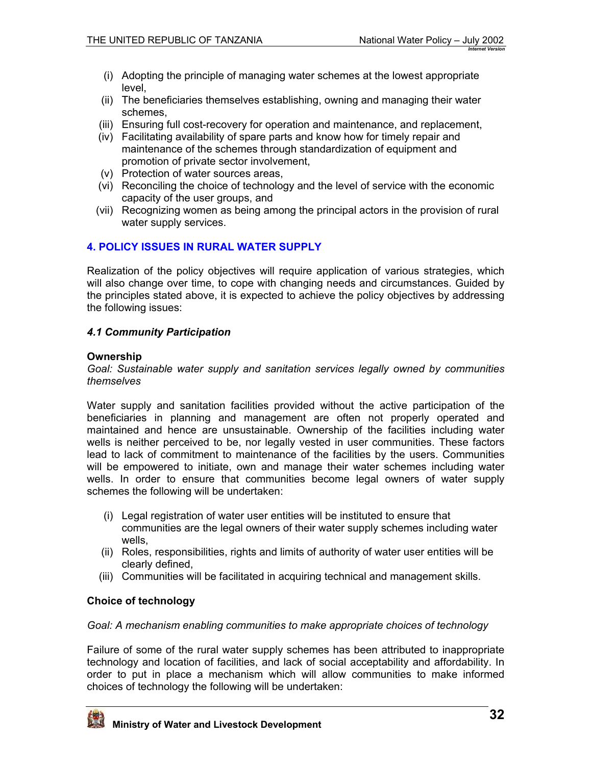- <span id="page-31-0"></span>(i) Adopting the principle of managing water schemes at the lowest appropriate level,
- (ii) The beneficiaries themselves establishing, owning and managing their water schemes,
- (iii) Ensuring full cost-recovery for operation and maintenance, and replacement,
- (iv) Facilitating availability of spare parts and know how for timely repair and maintenance of the schemes through standardization of equipment and promotion of private sector involvement,
- (v) Protection of water sources areas,
- (vi) Reconciling the choice of technology and the level of service with the economic capacity of the user groups, and
- (vii) Recognizing women as being among the principal actors in the provision of rural water supply services.

### **4. POLICY ISSUES IN RURAL WATER SUPPLY**

Realization of the policy objectives will require application of various strategies, which will also change over time, to cope with changing needs and circumstances. Guided by the principles stated above, it is expected to achieve the policy objectives by addressing the following issues:

### *4.1 Community Participation*

#### **Ownership**

*Goal: Sustainable water supply and sanitation services legally owned by communities themselves* 

Water supply and sanitation facilities provided without the active participation of the beneficiaries in planning and management are often not properly operated and maintained and hence are unsustainable. Ownership of the facilities including water wells is neither perceived to be, nor legally vested in user communities. These factors lead to lack of commitment to maintenance of the facilities by the users. Communities will be empowered to initiate, own and manage their water schemes including water wells. In order to ensure that communities become legal owners of water supply schemes the following will be undertaken:

- (i) Legal registration of water user entities will be instituted to ensure that communities are the legal owners of their water supply schemes including water wells,
- (ii) Roles, responsibilities, rights and limits of authority of water user entities will be clearly defined,
- (iii) Communities will be facilitated in acquiring technical and management skills.

### **Choice of technology**

#### *Goal: A mechanism enabling communities to make appropriate choices of technology*

Failure of some of the rural water supply schemes has been attributed to inappropriate technology and location of facilities, and lack of social acceptability and affordability. In order to put in place a mechanism which will allow communities to make informed choices of technology the following will be undertaken:

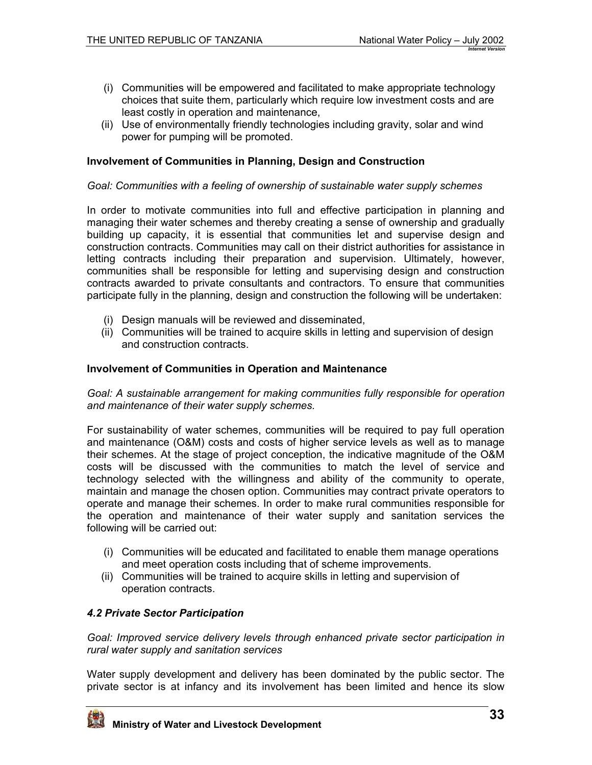- <span id="page-32-0"></span>(i) Communities will be empowered and facilitated to make appropriate technology choices that suite them, particularly which require low investment costs and are least costly in operation and maintenance,
- (ii) Use of environmentally friendly technologies including gravity, solar and wind power for pumping will be promoted.

### **Involvement of Communities in Planning, Design and Construction**

#### *Goal: Communities with a feeling of ownership of sustainable water supply schemes*

In order to motivate communities into full and effective participation in planning and managing their water schemes and thereby creating a sense of ownership and gradually building up capacity, it is essential that communities let and supervise design and construction contracts. Communities may call on their district authorities for assistance in letting contracts including their preparation and supervision. Ultimately, however, communities shall be responsible for letting and supervising design and construction contracts awarded to private consultants and contractors. To ensure that communities participate fully in the planning, design and construction the following will be undertaken:

- (i) Design manuals will be reviewed and disseminated,
- (ii) Communities will be trained to acquire skills in letting and supervision of design and construction contracts.

#### **Involvement of Communities in Operation and Maintenance**

*Goal: A sustainable arrangement for making communities fully responsible for operation and maintenance of their water supply schemes.* 

For sustainability of water schemes, communities will be required to pay full operation and maintenance (O&M) costs and costs of higher service levels as well as to manage their schemes. At the stage of project conception, the indicative magnitude of the O&M costs will be discussed with the communities to match the level of service and technology selected with the willingness and ability of the community to operate, maintain and manage the chosen option. Communities may contract private operators to operate and manage their schemes. In order to make rural communities responsible for the operation and maintenance of their water supply and sanitation services the following will be carried out:

- (i) Communities will be educated and facilitated to enable them manage operations and meet operation costs including that of scheme improvements.
- (ii) Communities will be trained to acquire skills in letting and supervision of operation contracts.

#### *4.2 Private Sector Participation*

*Goal: Improved service delivery levels through enhanced private sector participation in rural water supply and sanitation services* 

Water supply development and delivery has been dominated by the public sector. The private sector is at infancy and its involvement has been limited and hence its slow

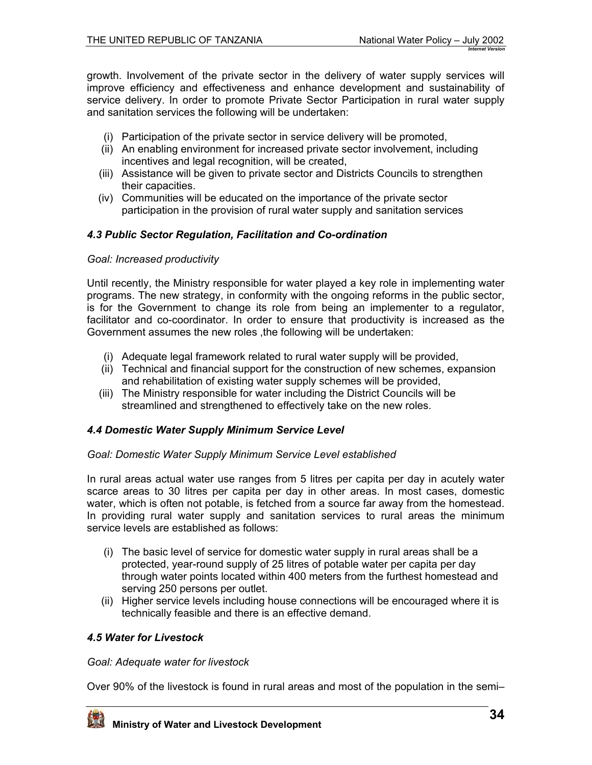<span id="page-33-0"></span>growth. Involvement of the private sector in the delivery of water supply services will improve efficiency and effectiveness and enhance development and sustainability of service delivery. In order to promote Private Sector Participation in rural water supply and sanitation services the following will be undertaken:

- (i) Participation of the private sector in service delivery will be promoted,
- (ii) An enabling environment for increased private sector involvement, including incentives and legal recognition, will be created,
- (iii) Assistance will be given to private sector and Districts Councils to strengthen their capacities.
- (iv) Communities will be educated on the importance of the private sector participation in the provision of rural water supply and sanitation services

### *4.3 Public Sector Regulation, Facilitation and Co-ordination*

### *Goal: Increased productivity*

Until recently, the Ministry responsible for water played a key role in implementing water programs. The new strategy, in conformity with the ongoing reforms in the public sector, is for the Government to change its role from being an implementer to a regulator, facilitator and co-coordinator. In order to ensure that productivity is increased as the Government assumes the new roles ,the following will be undertaken:

- (i) Adequate legal framework related to rural water supply will be provided,
- (ii) Technical and financial support for the construction of new schemes, expansion and rehabilitation of existing water supply schemes will be provided,
- (iii) The Ministry responsible for water including the District Councils will be streamlined and strengthened to effectively take on the new roles.

### *4.4 Domestic Water Supply Minimum Service Level*

### *Goal: Domestic Water Supply Minimum Service Level established*

In rural areas actual water use ranges from 5 litres per capita per day in acutely water scarce areas to 30 litres per capita per day in other areas. In most cases, domestic water, which is often not potable, is fetched from a source far away from the homestead. In providing rural water supply and sanitation services to rural areas the minimum service levels are established as follows:

- (i) The basic level of service for domestic water supply in rural areas shall be a protected, year-round supply of 25 litres of potable water per capita per day through water points located within 400 meters from the furthest homestead and serving 250 persons per outlet.
- (ii) Higher service levels including house connections will be encouraged where it is technically feasible and there is an effective demand.

### *4.5 Water for Livestock*

### *Goal: Adequate water for livestock*

Over 90% of the livestock is found in rural areas and most of the population in the semi–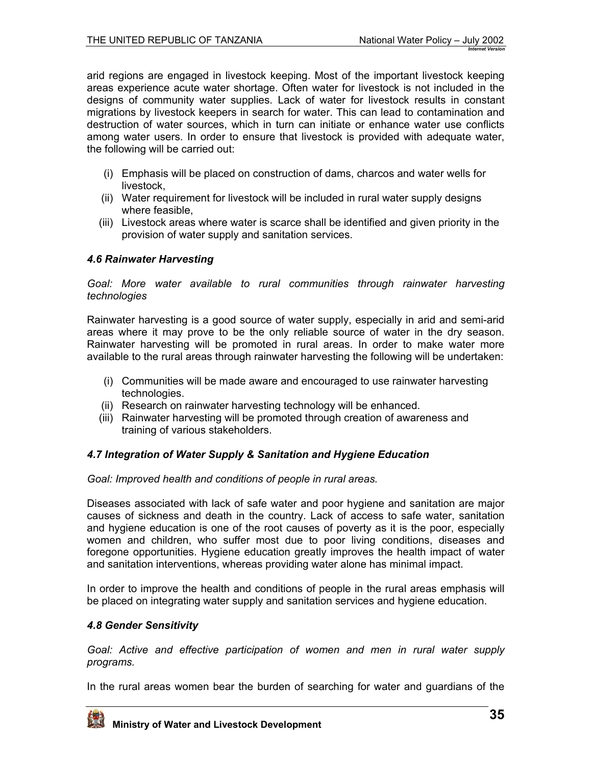<span id="page-34-0"></span>arid regions are engaged in livestock keeping. Most of the important livestock keeping areas experience acute water shortage. Often water for livestock is not included in the designs of community water supplies. Lack of water for livestock results in constant migrations by livestock keepers in search for water. This can lead to contamination and destruction of water sources, which in turn can initiate or enhance water use conflicts among water users. In order to ensure that livestock is provided with adequate water, the following will be carried out:

- (i) Emphasis will be placed on construction of dams, charcos and water wells for livestock,
- (ii) Water requirement for livestock will be included in rural water supply designs where feasible,
- (iii) Livestock areas where water is scarce shall be identified and given priority in the provision of water supply and sanitation services.

## *4.6 Rainwater Harvesting*

#### *Goal: More water available to rural communities through rainwater harvesting technologies*

Rainwater harvesting is a good source of water supply, especially in arid and semi-arid areas where it may prove to be the only reliable source of water in the dry season. Rainwater harvesting will be promoted in rural areas. In order to make water more available to the rural areas through rainwater harvesting the following will be undertaken:

- (i) Communities will be made aware and encouraged to use rainwater harvesting technologies.
- (ii) Research on rainwater harvesting technology will be enhanced.
- (iii) Rainwater harvesting will be promoted through creation of awareness and training of various stakeholders.

## *4.7 Integration of Water Supply & Sanitation and Hygiene Education*

*Goal: Improved health and conditions of people in rural areas.* 

Diseases associated with lack of safe water and poor hygiene and sanitation are major causes of sickness and death in the country. Lack of access to safe water, sanitation and hygiene education is one of the root causes of poverty as it is the poor, especially women and children, who suffer most due to poor living conditions, diseases and foregone opportunities. Hygiene education greatly improves the health impact of water and sanitation interventions, whereas providing water alone has minimal impact.

In order to improve the health and conditions of people in the rural areas emphasis will be placed on integrating water supply and sanitation services and hygiene education.

### *4.8 Gender Sensitivity*

*Goal: Active and effective participation of women and men in rural water supply programs.* 

In the rural areas women bear the burden of searching for water and guardians of the

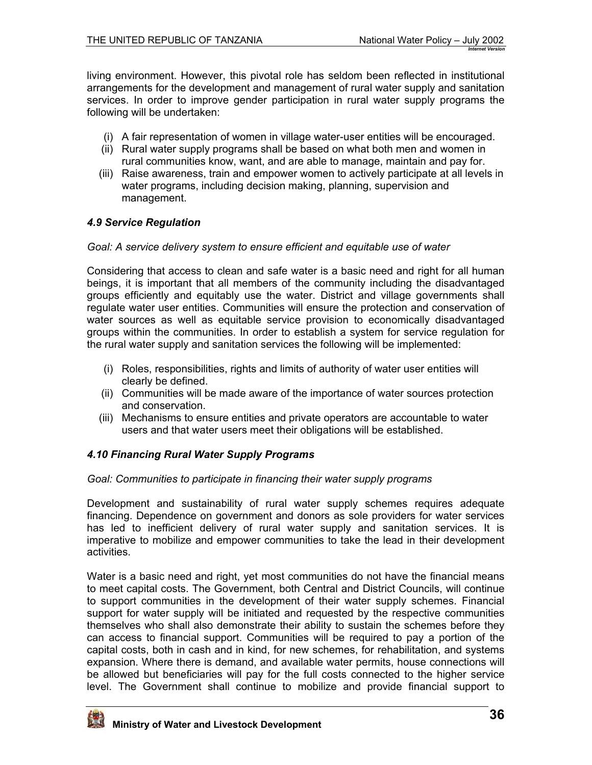<span id="page-35-0"></span>living environment. However, this pivotal role has seldom been reflected in institutional arrangements for the development and management of rural water supply and sanitation services. In order to improve gender participation in rural water supply programs the following will be undertaken:

- (i) A fair representation of women in village water-user entities will be encouraged.
- (ii) Rural water supply programs shall be based on what both men and women in rural communities know, want, and are able to manage, maintain and pay for.
- (iii) Raise awareness, train and empower women to actively participate at all levels in water programs, including decision making, planning, supervision and management.

### *4.9 Service Regulation*

### *Goal: A service delivery system to ensure efficient and equitable use of water*

Considering that access to clean and safe water is a basic need and right for all human beings, it is important that all members of the community including the disadvantaged groups efficiently and equitably use the water. District and village governments shall regulate water user entities. Communities will ensure the protection and conservation of water sources as well as equitable service provision to economically disadvantaged groups within the communities. In order to establish a system for service regulation for the rural water supply and sanitation services the following will be implemented:

- (i) Roles, responsibilities, rights and limits of authority of water user entities will clearly be defined.
- (ii) Communities will be made aware of the importance of water sources protection and conservation.
- (iii) Mechanisms to ensure entities and private operators are accountable to water users and that water users meet their obligations will be established.

### *4.10 Financing Rural Water Supply Programs*

### *Goal: Communities to participate in financing their water supply programs*

Development and sustainability of rural water supply schemes requires adequate financing. Dependence on government and donors as sole providers for water services has led to inefficient delivery of rural water supply and sanitation services. It is imperative to mobilize and empower communities to take the lead in their development activities.

Water is a basic need and right, yet most communities do not have the financial means to meet capital costs. The Government, both Central and District Councils, will continue to support communities in the development of their water supply schemes. Financial support for water supply will be initiated and requested by the respective communities themselves who shall also demonstrate their ability to sustain the schemes before they can access to financial support. Communities will be required to pay a portion of the capital costs, both in cash and in kind, for new schemes, for rehabilitation, and systems expansion. Where there is demand, and available water permits, house connections will be allowed but beneficiaries will pay for the full costs connected to the higher service level. The Government shall continue to mobilize and provide financial support to

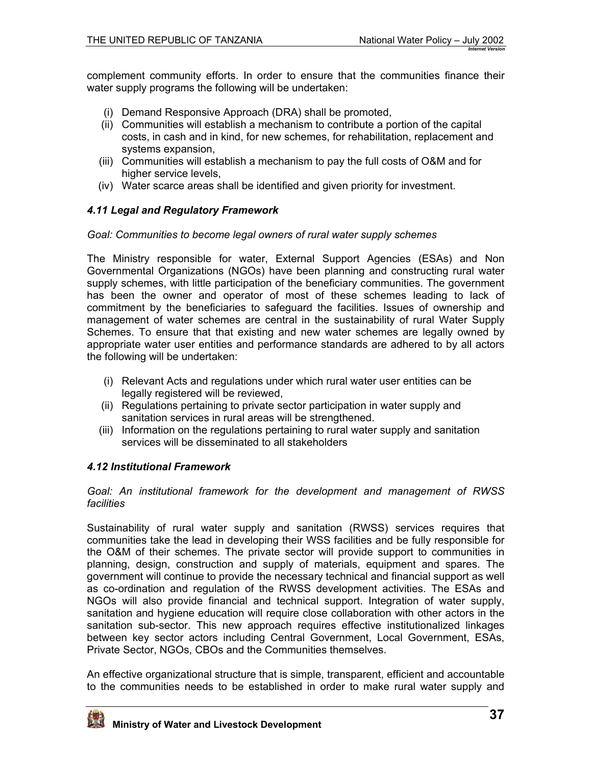<span id="page-36-0"></span>complement community efforts. In order to ensure that the communities finance their water supply programs the following will be undertaken:

- (i) Demand Responsive Approach (DRA) shall be promoted,
- (ii) Communities will establish a mechanism to contribute a portion of the capital costs, in cash and in kind, for new schemes, for rehabilitation, replacement and systems expansion,
- (iii) Communities will establish a mechanism to pay the full costs of O&M and for higher service levels,
- (iv) Water scarce areas shall be identified and given priority for investment.

### *4.11 Legal and Regulatory Framework*

#### *Goal: Communities to become legal owners of rural water supply schemes*

The Ministry responsible for water, External Support Agencies (ESAs) and Non Governmental Organizations (NGOs) have been planning and constructing rural water supply schemes, with little participation of the beneficiary communities. The government has been the owner and operator of most of these schemes leading to lack of commitment by the beneficiaries to safeguard the facilities. Issues of ownership and management of water schemes are central in the sustainability of rural Water Supply Schemes. To ensure that that existing and new water schemes are legally owned by appropriate water user entities and performance standards are adhered to by all actors the following will be undertaken:

- (i) Relevant Acts and regulations under which rural water user entities can be legally registered will be reviewed,
- (ii) Regulations pertaining to private sector participation in water supply and sanitation services in rural areas will be strengthened.
- (iii) Information on the regulations pertaining to rural water supply and sanitation services will be disseminated to all stakeholders

### *4.12 Institutional Framework*

*Goal: An institutional framework for the development and management of RWSS facilities* 

Sustainability of rural water supply and sanitation (RWSS) services requires that communities take the lead in developing their WSS facilities and be fully responsible for the O&M of their schemes. The private sector will provide support to communities in planning, design, construction and supply of materials, equipment and spares. The government will continue to provide the necessary technical and financial support as well as co-ordination and regulation of the RWSS development activities. The ESAs and NGOs will also provide financial and technical support. Integration of water supply, sanitation and hygiene education will require close collaboration with other actors in the sanitation sub-sector. This new approach requires effective institutionalized linkages between key sector actors including Central Government, Local Government, ESAs, Private Sector, NGOs, CBOs and the Communities themselves.

An effective organizational structure that is simple, transparent, efficient and accountable to the communities needs to be established in order to make rural water supply and

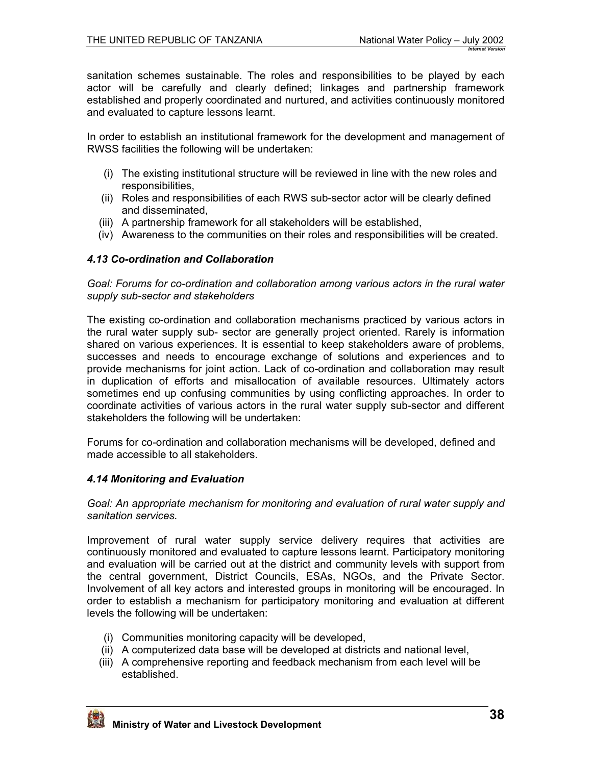<span id="page-37-0"></span>sanitation schemes sustainable. The roles and responsibilities to be played by each actor will be carefully and clearly defined; linkages and partnership framework established and properly coordinated and nurtured, and activities continuously monitored and evaluated to capture lessons learnt.

In order to establish an institutional framework for the development and management of RWSS facilities the following will be undertaken:

- (i) The existing institutional structure will be reviewed in line with the new roles and responsibilities,
- (ii) Roles and responsibilities of each RWS sub-sector actor will be clearly defined and disseminated,
- (iii) A partnership framework for all stakeholders will be established,
- (iv) Awareness to the communities on their roles and responsibilities will be created.

### *4.13 Co-ordination and Collaboration*

*Goal: Forums for co-ordination and collaboration among various actors in the rural water supply sub-sector and stakeholders* 

The existing co-ordination and collaboration mechanisms practiced by various actors in the rural water supply sub- sector are generally project oriented. Rarely is information shared on various experiences. It is essential to keep stakeholders aware of problems, successes and needs to encourage exchange of solutions and experiences and to provide mechanisms for joint action. Lack of co-ordination and collaboration may result in duplication of efforts and misallocation of available resources. Ultimately actors sometimes end up confusing communities by using conflicting approaches. In order to coordinate activities of various actors in the rural water supply sub-sector and different stakeholders the following will be undertaken:

Forums for co-ordination and collaboration mechanisms will be developed, defined and made accessible to all stakeholders.

## *4.14 Monitoring and Evaluation*

*Goal: An appropriate mechanism for monitoring and evaluation of rural water supply and sanitation services.* 

Improvement of rural water supply service delivery requires that activities are continuously monitored and evaluated to capture lessons learnt. Participatory monitoring and evaluation will be carried out at the district and community levels with support from the central government, District Councils, ESAs, NGOs, and the Private Sector. Involvement of all key actors and interested groups in monitoring will be encouraged. In order to establish a mechanism for participatory monitoring and evaluation at different levels the following will be undertaken:

- (i) Communities monitoring capacity will be developed,
- (ii) A computerized data base will be developed at districts and national level,
- (iii) A comprehensive reporting and feedback mechanism from each level will be established.

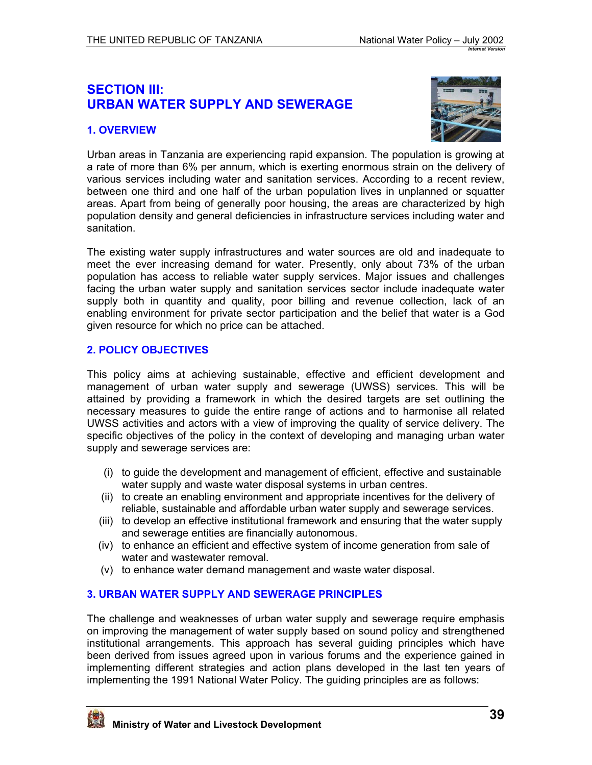## <span id="page-38-0"></span>**SECTION III: URBAN WATER SUPPLY AND SEWERAGE**

## **1. OVERVIEW**



Urban areas in Tanzania are experiencing rapid expansion. The population is growing at a rate of more than 6% per annum, which is exerting enormous strain on the delivery of various services including water and sanitation services. According to a recent review, between one third and one half of the urban population lives in unplanned or squatter areas. Apart from being of generally poor housing, the areas are characterized by high population density and general deficiencies in infrastructure services including water and sanitation.

The existing water supply infrastructures and water sources are old and inadequate to meet the ever increasing demand for water. Presently, only about 73% of the urban population has access to reliable water supply services. Major issues and challenges facing the urban water supply and sanitation services sector include inadequate water supply both in quantity and quality, poor billing and revenue collection, lack of an enabling environment for private sector participation and the belief that water is a God given resource for which no price can be attached.

### **2. POLICY OBJECTIVES**

This policy aims at achieving sustainable, effective and efficient development and management of urban water supply and sewerage (UWSS) services. This will be attained by providing a framework in which the desired targets are set outlining the necessary measures to guide the entire range of actions and to harmonise all related UWSS activities and actors with a view of improving the quality of service delivery. The specific objectives of the policy in the context of developing and managing urban water supply and sewerage services are:

- (i) to guide the development and management of efficient, effective and sustainable water supply and waste water disposal systems in urban centres.
- (ii) to create an enabling environment and appropriate incentives for the delivery of reliable, sustainable and affordable urban water supply and sewerage services.
- (iii) to develop an effective institutional framework and ensuring that the water supply and sewerage entities are financially autonomous.
- (iv) to enhance an efficient and effective system of income generation from sale of water and wastewater removal.
- (v) to enhance water demand management and waste water disposal.

### **3. URBAN WATER SUPPLY AND SEWERAGE PRINCIPLES**

The challenge and weaknesses of urban water supply and sewerage require emphasis on improving the management of water supply based on sound policy and strengthened institutional arrangements. This approach has several guiding principles which have been derived from issues agreed upon in various forums and the experience gained in implementing different strategies and action plans developed in the last ten years of implementing the 1991 National Water Policy. The guiding principles are as follows:

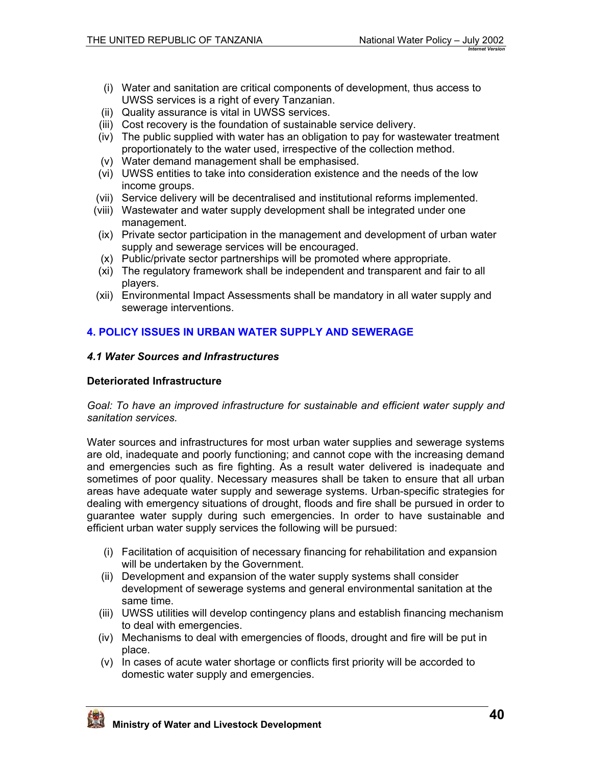- <span id="page-39-0"></span>(i) Water and sanitation are critical components of development, thus access to UWSS services is a right of every Tanzanian.
- (ii) Quality assurance is vital in UWSS services.
- (iii) Cost recovery is the foundation of sustainable service delivery.
- (iv) The public supplied with water has an obligation to pay for wastewater treatment proportionately to the water used, irrespective of the collection method.
- (v) Water demand management shall be emphasised.
- (vi) UWSS entities to take into consideration existence and the needs of the low income groups.
- (vii) Service delivery will be decentralised and institutional reforms implemented.
- (viii) Wastewater and water supply development shall be integrated under one management.
- (ix) Private sector participation in the management and development of urban water supply and sewerage services will be encouraged.
- (x) Public/private sector partnerships will be promoted where appropriate.
- (xi) The regulatory framework shall be independent and transparent and fair to all players.
- (xii) Environmental Impact Assessments shall be mandatory in all water supply and sewerage interventions.

## **4. POLICY ISSUES IN URBAN WATER SUPPLY AND SEWERAGE**

#### *4.1 Water Sources and Infrastructures*

#### **Deteriorated Infrastructure**

*Goal: To have an improved infrastructure for sustainable and efficient water supply and sanitation services.* 

Water sources and infrastructures for most urban water supplies and sewerage systems are old, inadequate and poorly functioning; and cannot cope with the increasing demand and emergencies such as fire fighting. As a result water delivered is inadequate and sometimes of poor quality. Necessary measures shall be taken to ensure that all urban areas have adequate water supply and sewerage systems. Urban-specific strategies for dealing with emergency situations of drought, floods and fire shall be pursued in order to guarantee water supply during such emergencies. In order to have sustainable and efficient urban water supply services the following will be pursued:

- (i) Facilitation of acquisition of necessary financing for rehabilitation and expansion will be undertaken by the Government.
- (ii) Development and expansion of the water supply systems shall consider development of sewerage systems and general environmental sanitation at the same time.
- (iii) UWSS utilities will develop contingency plans and establish financing mechanism to deal with emergencies.
- (iv) Mechanisms to deal with emergencies of floods, drought and fire will be put in place.
- (v) In cases of acute water shortage or conflicts first priority will be accorded to domestic water supply and emergencies.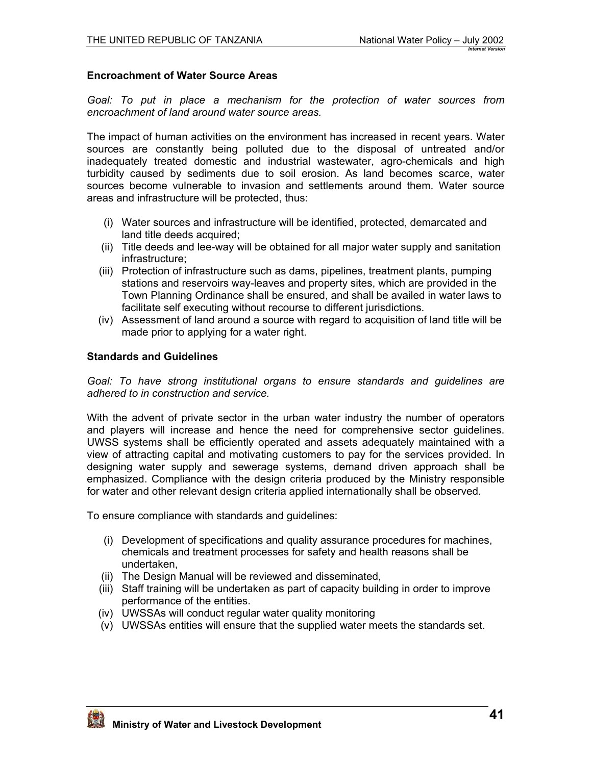### **Encroachment of Water Source Areas**

*Goal: To put in place a mechanism for the protection of water sources from encroachment of land around water source areas.* 

The impact of human activities on the environment has increased in recent years. Water sources are constantly being polluted due to the disposal of untreated and/or inadequately treated domestic and industrial wastewater, agro-chemicals and high turbidity caused by sediments due to soil erosion. As land becomes scarce, water sources become vulnerable to invasion and settlements around them. Water source areas and infrastructure will be protected, thus:

- (i) Water sources and infrastructure will be identified, protected, demarcated and land title deeds acquired;
- (ii) Title deeds and lee-way will be obtained for all major water supply and sanitation infrastructure;
- (iii) Protection of infrastructure such as dams, pipelines, treatment plants, pumping stations and reservoirs way-leaves and property sites, which are provided in the Town Planning Ordinance shall be ensured, and shall be availed in water laws to facilitate self executing without recourse to different jurisdictions.
- (iv) Assessment of land around a source with regard to acquisition of land title will be made prior to applying for a water right.

### **Standards and Guidelines**

*Goal: To have strong institutional organs to ensure standards and guidelines are adhered to in construction and service.* 

With the advent of private sector in the urban water industry the number of operators and players will increase and hence the need for comprehensive sector guidelines. UWSS systems shall be efficiently operated and assets adequately maintained with a view of attracting capital and motivating customers to pay for the services provided. In designing water supply and sewerage systems, demand driven approach shall be emphasized. Compliance with the design criteria produced by the Ministry responsible for water and other relevant design criteria applied internationally shall be observed.

To ensure compliance with standards and guidelines:

- (i) Development of specifications and quality assurance procedures for machines, chemicals and treatment processes for safety and health reasons shall be undertaken,
- (ii) The Design Manual will be reviewed and disseminated,
- (iii) Staff training will be undertaken as part of capacity building in order to improve performance of the entities.
- (iv) UWSSAs will conduct regular water quality monitoring
- (v) UWSSAs entities will ensure that the supplied water meets the standards set.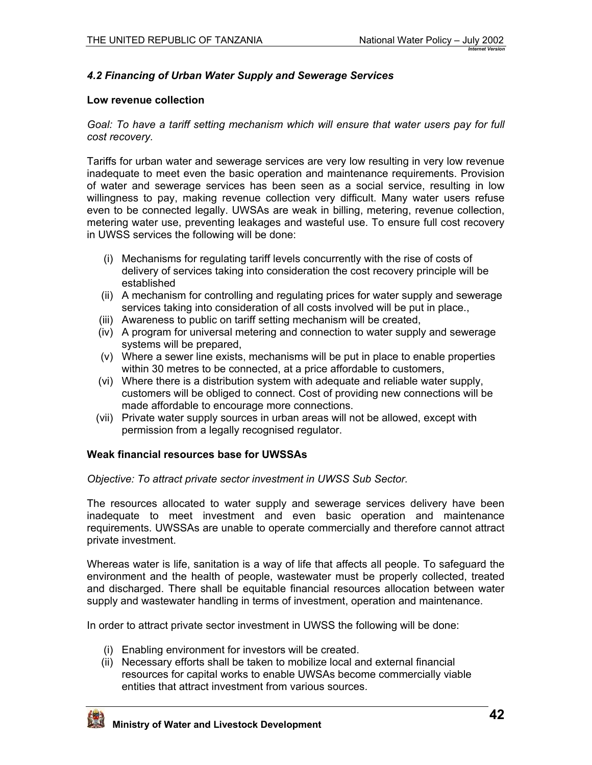## <span id="page-41-0"></span>*4.2 Financing of Urban Water Supply and Sewerage Services*

#### **Low revenue collection**

*Goal: To have a tariff setting mechanism which will ensure that water users pay for full cost recovery.* 

Tariffs for urban water and sewerage services are very low resulting in very low revenue inadequate to meet even the basic operation and maintenance requirements. Provision of water and sewerage services has been seen as a social service, resulting in low willingness to pay, making revenue collection very difficult. Many water users refuse even to be connected legally. UWSAs are weak in billing, metering, revenue collection, metering water use, preventing leakages and wasteful use. To ensure full cost recovery in UWSS services the following will be done:

- (i) Mechanisms for regulating tariff levels concurrently with the rise of costs of delivery of services taking into consideration the cost recovery principle will be established
- (ii) A mechanism for controlling and regulating prices for water supply and sewerage services taking into consideration of all costs involved will be put in place.,
- (iii) Awareness to public on tariff setting mechanism will be created,
- (iv) A program for universal metering and connection to water supply and sewerage systems will be prepared,
- (v) Where a sewer line exists, mechanisms will be put in place to enable properties within 30 metres to be connected, at a price affordable to customers,
- (vi) Where there is a distribution system with adequate and reliable water supply, customers will be obliged to connect. Cost of providing new connections will be made affordable to encourage more connections.
- (vii) Private water supply sources in urban areas will not be allowed, except with permission from a legally recognised regulator.

### **Weak financial resources base for UWSSAs**

*Objective: To attract private sector investment in UWSS Sub Sector.* 

The resources allocated to water supply and sewerage services delivery have been inadequate to meet investment and even basic operation and maintenance requirements. UWSSAs are unable to operate commercially and therefore cannot attract private investment.

Whereas water is life, sanitation is a way of life that affects all people. To safeguard the environment and the health of people, wastewater must be properly collected, treated and discharged. There shall be equitable financial resources allocation between water supply and wastewater handling in terms of investment, operation and maintenance.

In order to attract private sector investment in UWSS the following will be done:

- (i) Enabling environment for investors will be created.
- (ii) Necessary efforts shall be taken to mobilize local and external financial resources for capital works to enable UWSAs become commercially viable entities that attract investment from various sources.

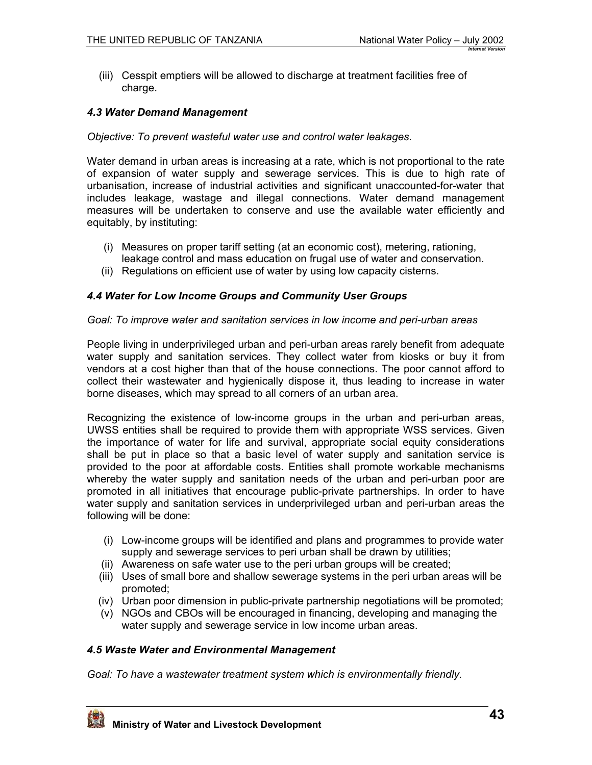<span id="page-42-0"></span>(iii) Cesspit emptiers will be allowed to discharge at treatment facilities free of charge.

## *4.3 Water Demand Management*

#### *Objective: To prevent wasteful water use and control water leakages.*

Water demand in urban areas is increasing at a rate, which is not proportional to the rate of expansion of water supply and sewerage services. This is due to high rate of urbanisation, increase of industrial activities and significant unaccounted-for-water that includes leakage, wastage and illegal connections. Water demand management measures will be undertaken to conserve and use the available water efficiently and equitably, by instituting:

- (i) Measures on proper tariff setting (at an economic cost), metering, rationing, leakage control and mass education on frugal use of water and conservation.
- (ii) Regulations on efficient use of water by using low capacity cisterns.

### *4.4 Water for Low Income Groups and Community User Groups*

#### *Goal: To improve water and sanitation services in low income and peri-urban areas*

People living in underprivileged urban and peri-urban areas rarely benefit from adequate water supply and sanitation services. They collect water from kiosks or buy it from vendors at a cost higher than that of the house connections. The poor cannot afford to collect their wastewater and hygienically dispose it, thus leading to increase in water borne diseases, which may spread to all corners of an urban area.

Recognizing the existence of low-income groups in the urban and peri-urban areas, UWSS entities shall be required to provide them with appropriate WSS services. Given the importance of water for life and survival, appropriate social equity considerations shall be put in place so that a basic level of water supply and sanitation service is provided to the poor at affordable costs. Entities shall promote workable mechanisms whereby the water supply and sanitation needs of the urban and peri-urban poor are promoted in all initiatives that encourage public-private partnerships. In order to have water supply and sanitation services in underprivileged urban and peri-urban areas the following will be done:

- (i) Low-income groups will be identified and plans and programmes to provide water supply and sewerage services to peri urban shall be drawn by utilities;
- (ii) Awareness on safe water use to the peri urban groups will be created;
- (iii) Uses of small bore and shallow sewerage systems in the peri urban areas will be promoted;
- (iv) Urban poor dimension in public-private partnership negotiations will be promoted;
- (v) NGOs and CBOs will be encouraged in financing, developing and managing the water supply and sewerage service in low income urban areas.

### *4.5 Waste Water and Environmental Management*

*Goal: To have a wastewater treatment system which is environmentally friendly.*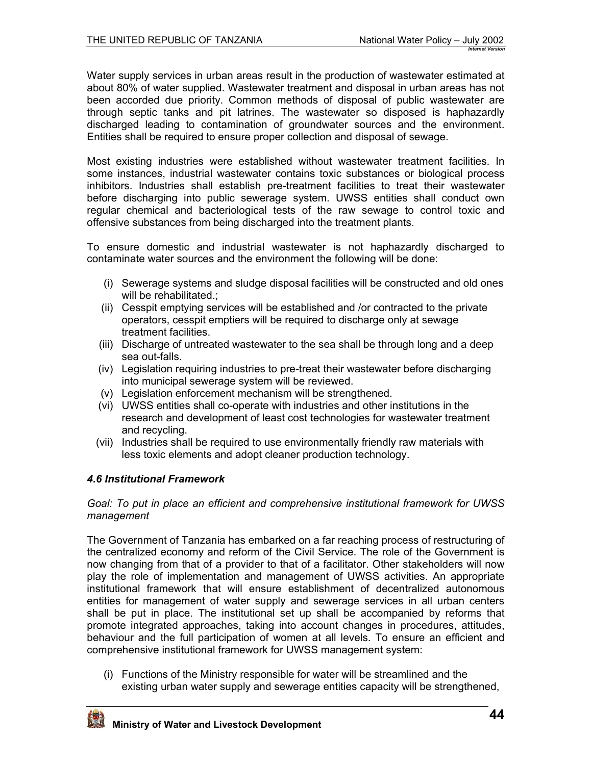<span id="page-43-0"></span>Water supply services in urban areas result in the production of wastewater estimated at about 80% of water supplied. Wastewater treatment and disposal in urban areas has not been accorded due priority. Common methods of disposal of public wastewater are through septic tanks and pit latrines. The wastewater so disposed is haphazardly discharged leading to contamination of groundwater sources and the environment. Entities shall be required to ensure proper collection and disposal of sewage.

Most existing industries were established without wastewater treatment facilities. In some instances, industrial wastewater contains toxic substances or biological process inhibitors. Industries shall establish pre-treatment facilities to treat their wastewater before discharging into public sewerage system. UWSS entities shall conduct own regular chemical and bacteriological tests of the raw sewage to control toxic and offensive substances from being discharged into the treatment plants.

To ensure domestic and industrial wastewater is not haphazardly discharged to contaminate water sources and the environment the following will be done:

- (i) Sewerage systems and sludge disposal facilities will be constructed and old ones will be rehabilitated.:
- (ii) Cesspit emptying services will be established and /or contracted to the private operators, cesspit emptiers will be required to discharge only at sewage treatment facilities.
- (iii) Discharge of untreated wastewater to the sea shall be through long and a deep sea out-falls.
- (iv) Legislation requiring industries to pre-treat their wastewater before discharging into municipal sewerage system will be reviewed.
- (v) Legislation enforcement mechanism will be strengthened.
- (vi) UWSS entities shall co-operate with industries and other institutions in the research and development of least cost technologies for wastewater treatment and recycling.
- (vii) Industries shall be required to use environmentally friendly raw materials with less toxic elements and adopt cleaner production technology.

## *4.6 Institutional Framework*

#### *Goal: To put in place an efficient and comprehensive institutional framework for UWSS management*

The Government of Tanzania has embarked on a far reaching process of restructuring of the centralized economy and reform of the Civil Service. The role of the Government is now changing from that of a provider to that of a facilitator. Other stakeholders will now play the role of implementation and management of UWSS activities. An appropriate institutional framework that will ensure establishment of decentralized autonomous entities for management of water supply and sewerage services in all urban centers shall be put in place. The institutional set up shall be accompanied by reforms that promote integrated approaches, taking into account changes in procedures, attitudes, behaviour and the full participation of women at all levels. To ensure an efficient and comprehensive institutional framework for UWSS management system:

(i) Functions of the Ministry responsible for water will be streamlined and the existing urban water supply and sewerage entities capacity will be strengthened,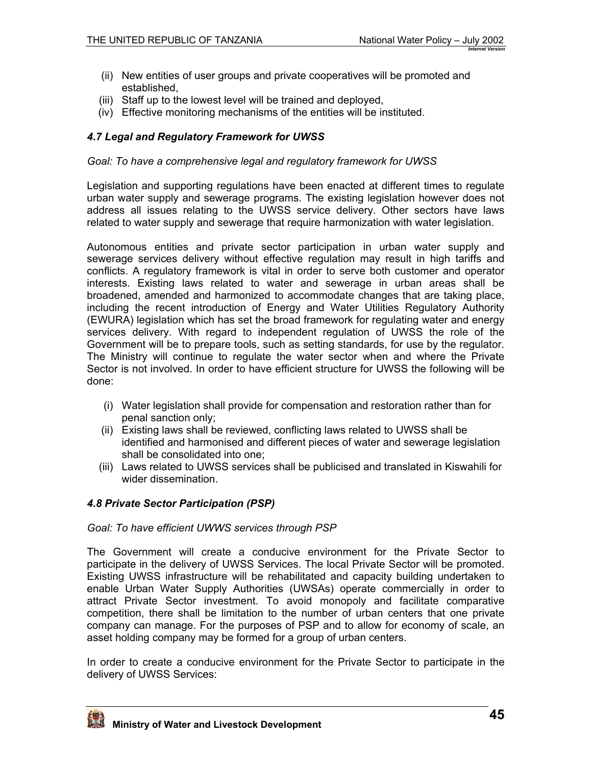- <span id="page-44-0"></span>(ii) New entities of user groups and private cooperatives will be promoted and established,
- (iii) Staff up to the lowest level will be trained and deployed,
- (iv) Effective monitoring mechanisms of the entities will be instituted.

## *4.7 Legal and Regulatory Framework for UWSS*

#### *Goal: To have a comprehensive legal and regulatory framework for UWSS*

Legislation and supporting regulations have been enacted at different times to regulate urban water supply and sewerage programs. The existing legislation however does not address all issues relating to the UWSS service delivery. Other sectors have laws related to water supply and sewerage that require harmonization with water legislation.

Autonomous entities and private sector participation in urban water supply and sewerage services delivery without effective regulation may result in high tariffs and conflicts. A regulatory framework is vital in order to serve both customer and operator interests. Existing laws related to water and sewerage in urban areas shall be broadened, amended and harmonized to accommodate changes that are taking place, including the recent introduction of Energy and Water Utilities Regulatory Authority (EWURA) legislation which has set the broad framework for regulating water and energy services delivery. With regard to independent regulation of UWSS the role of the Government will be to prepare tools, such as setting standards, for use by the regulator. The Ministry will continue to regulate the water sector when and where the Private Sector is not involved. In order to have efficient structure for UWSS the following will be done:

- (i) Water legislation shall provide for compensation and restoration rather than for penal sanction only;
- (ii) Existing laws shall be reviewed, conflicting laws related to UWSS shall be identified and harmonised and different pieces of water and sewerage legislation shall be consolidated into one;
- (iii) Laws related to UWSS services shall be publicised and translated in Kiswahili for wider dissemination.

### *4.8 Private Sector Participation (PSP)*

#### *Goal: To have efficient UWWS services through PSP*

The Government will create a conducive environment for the Private Sector to participate in the delivery of UWSS Services. The local Private Sector will be promoted. Existing UWSS infrastructure will be rehabilitated and capacity building undertaken to enable Urban Water Supply Authorities (UWSAs) operate commercially in order to attract Private Sector investment. To avoid monopoly and facilitate comparative competition, there shall be limitation to the number of urban centers that one private company can manage. For the purposes of PSP and to allow for economy of scale, an asset holding company may be formed for a group of urban centers.

In order to create a conducive environment for the Private Sector to participate in the delivery of UWSS Services:

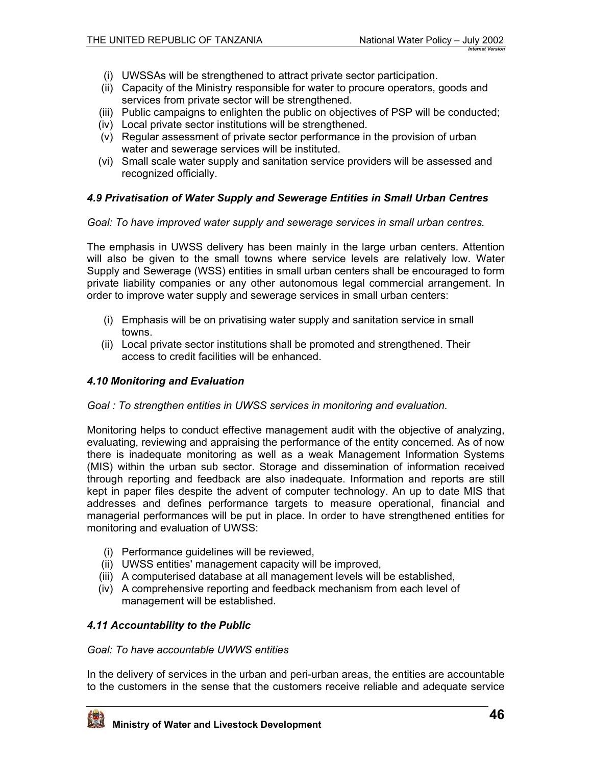- <span id="page-45-0"></span>(i) UWSSAs will be strengthened to attract private sector participation.
- (ii) Capacity of the Ministry responsible for water to procure operators, goods and services from private sector will be strengthened.
- (iii) Public campaigns to enlighten the public on objectives of PSP will be conducted;
- (iv) Local private sector institutions will be strengthened.
- (v) Regular assessment of private sector performance in the provision of urban water and sewerage services will be instituted.
- (vi) Small scale water supply and sanitation service providers will be assessed and recognized officially.

### *4.9 Privatisation of Water Supply and Sewerage Entities in Small Urban Centres*

*Goal: To have improved water supply and sewerage services in small urban centres.*

The emphasis in UWSS delivery has been mainly in the large urban centers. Attention will also be given to the small towns where service levels are relatively low. Water Supply and Sewerage (WSS) entities in small urban centers shall be encouraged to form private liability companies or any other autonomous legal commercial arrangement. In order to improve water supply and sewerage services in small urban centers:

- (i) Emphasis will be on privatising water supply and sanitation service in small towns.
- (ii) Local private sector institutions shall be promoted and strengthened. Their access to credit facilities will be enhanced.

### *4.10 Monitoring and Evaluation*

### *Goal : To strengthen entities in UWSS services in monitoring and evaluation.*

Monitoring helps to conduct effective management audit with the objective of analyzing, evaluating, reviewing and appraising the performance of the entity concerned. As of now there is inadequate monitoring as well as a weak Management Information Systems (MIS) within the urban sub sector. Storage and dissemination of information received through reporting and feedback are also inadequate. Information and reports are still kept in paper files despite the advent of computer technology. An up to date MIS that addresses and defines performance targets to measure operational, financial and managerial performances will be put in place. In order to have strengthened entities for monitoring and evaluation of UWSS:

- (i) Performance guidelines will be reviewed,
- (ii) UWSS entities' management capacity will be improved,
- (iii) A computerised database at all management levels will be established,
- (iv) A comprehensive reporting and feedback mechanism from each level of management will be established.

## *4.11 Accountability to the Public*

### *Goal: To have accountable UWWS entities*

In the delivery of services in the urban and peri-urban areas, the entities are accountable to the customers in the sense that the customers receive reliable and adequate service

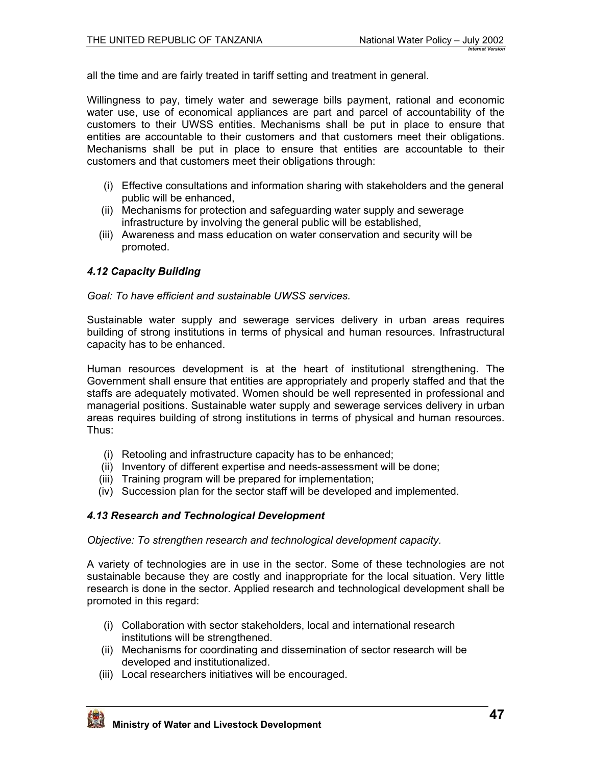<span id="page-46-0"></span>all the time and are fairly treated in tariff setting and treatment in general.

Willingness to pay, timely water and sewerage bills payment, rational and economic water use, use of economical appliances are part and parcel of accountability of the customers to their UWSS entities. Mechanisms shall be put in place to ensure that entities are accountable to their customers and that customers meet their obligations. Mechanisms shall be put in place to ensure that entities are accountable to their customers and that customers meet their obligations through:

- (i) Effective consultations and information sharing with stakeholders and the general public will be enhanced,
- (ii) Mechanisms for protection and safeguarding water supply and sewerage infrastructure by involving the general public will be established,
- (iii) Awareness and mass education on water conservation and security will be promoted.

### *4.12 Capacity Building*

*Goal: To have efficient and sustainable UWSS services.* 

Sustainable water supply and sewerage services delivery in urban areas requires building of strong institutions in terms of physical and human resources. Infrastructural capacity has to be enhanced.

Human resources development is at the heart of institutional strengthening. The Government shall ensure that entities are appropriately and properly staffed and that the staffs are adequately motivated. Women should be well represented in professional and managerial positions. Sustainable water supply and sewerage services delivery in urban areas requires building of strong institutions in terms of physical and human resources. Thus:

- (i) Retooling and infrastructure capacity has to be enhanced;
- (ii) Inventory of different expertise and needs-assessment will be done;
- (iii) Training program will be prepared for implementation;
- (iv) Succession plan for the sector staff will be developed and implemented.

### *4.13 Research and Technological Development*

*Objective: To strengthen research and technological development capacity.* 

A variety of technologies are in use in the sector. Some of these technologies are not sustainable because they are costly and inappropriate for the local situation. Very little research is done in the sector. Applied research and technological development shall be promoted in this regard:

- (i) Collaboration with sector stakeholders, local and international research institutions will be strengthened.
- (ii) Mechanisms for coordinating and dissemination of sector research will be developed and institutionalized.
- (iii) Local researchers initiatives will be encouraged.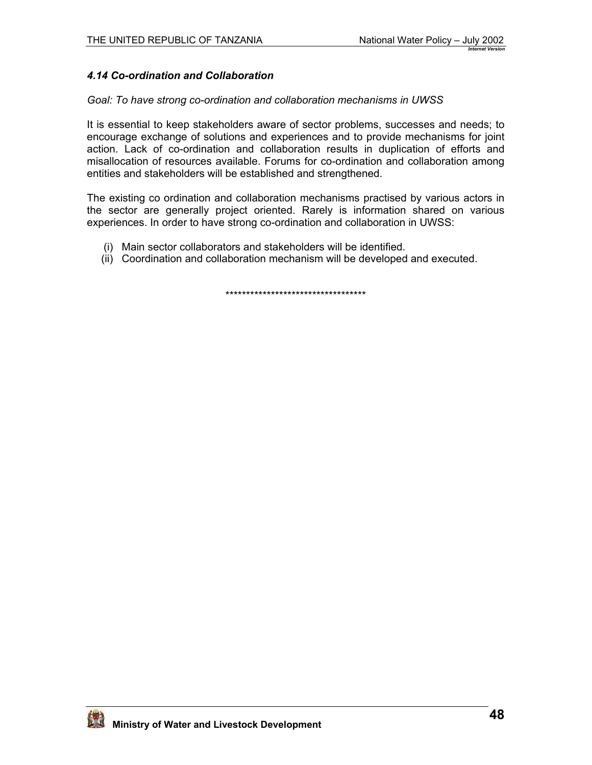## <span id="page-47-0"></span>*4.14 Co-ordination and Collaboration*

#### *Goal: To have strong co-ordination and collaboration mechanisms in UWSS*

It is essential to keep stakeholders aware of sector problems, successes and needs; to encourage exchange of solutions and experiences and to provide mechanisms for joint action. Lack of co-ordination and collaboration results in duplication of efforts and misallocation of resources available. Forums for co-ordination and collaboration among entities and stakeholders will be established and strengthened.

The existing co ordination and collaboration mechanisms practised by various actors in the sector are generally project oriented. Rarely is information shared on various experiences. In order to have strong co-ordination and collaboration in UWSS:

- (i) Main sector collaborators and stakeholders will be identified.
- (ii) Coordination and collaboration mechanism will be developed and executed.

\*\*\*\*\*\*\*\*\*\*\*\*\*\*\*\*\*\*\*\*\*\*\*\*\*\*\*\*\*\*\*\*\*\*